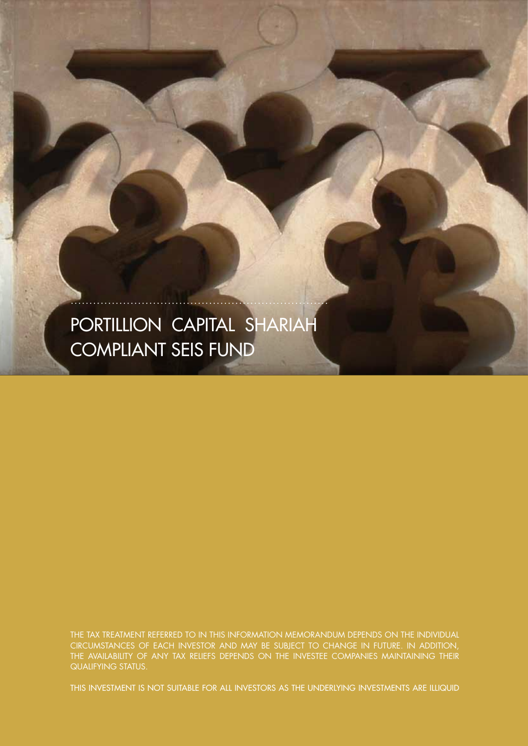# PORTILLION CAPITAL SHARIAH COMPLIANT SEIS FUND

THE TAX TREATMENT REFERRED TO IN THIS INFORMATION MEMORANDUM DEPENDS ON THE INDIVIDUAL CIRCUMSTANCES OF EACH INVESTOR AND MAY BE SUBJECT TO CHANGE IN FUTURE. IN ADDITION, THE AVAILABILITY OF ANY TAX RELIEFS DEPENDS ON THE INVESTEE COMPANIES MAINTAINING THEIR QUALIFYING STATUS.

THIS INVESTMENT IS NOT SUITABLE FOR ALL INVESTORS AS THE UNDERLYING INVESTMENTS ARE ILLIQUID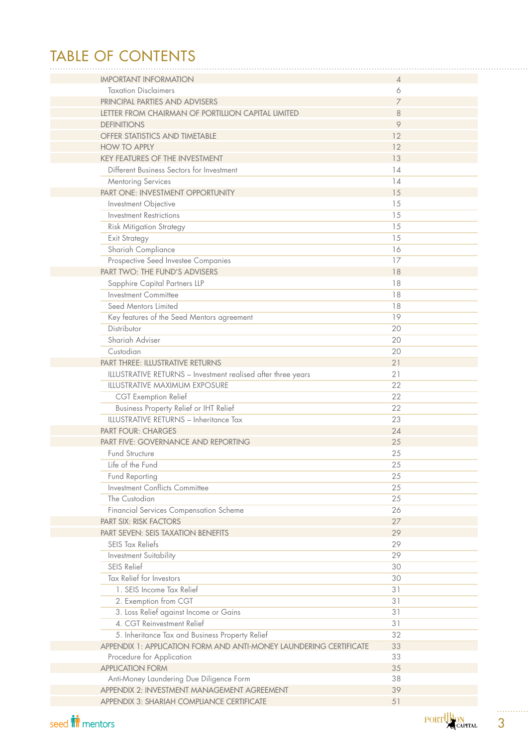# TABLE OF CONTENTS

| <b>IMPORTANT INFORMATION</b>                                       | $\overline{A}$ |
|--------------------------------------------------------------------|----------------|
| <b>Taxation Disclaimers</b>                                        | 6              |
| PRINCIPAL PARTIES AND ADVISERS                                     | 7              |
| LETTER FROM CHAIRMAN OF PORTILLION CAPITAL LIMITED                 | 8              |
| <b>DEFINITIONS</b>                                                 | 9              |
| OFFER STATISTICS AND TIMETABLE                                     | 12             |
| <b>HOW TO APPLY</b>                                                | 12             |
| <b>KEY FEATURES OF THE INVESTMENT</b>                              | 13             |
| Different Business Sectors for Investment                          | 14             |
| Mentoring Services                                                 | 14             |
| PART ONE: INVESTMENT OPPORTUNITY                                   | 15             |
| Investment Objective                                               | 15             |
| <b>Investment Restrictions</b>                                     | 15             |
| Risk Mitigation Strategy                                           | 15             |
| <b>Exit Strategy</b>                                               | 15             |
| Shariah Compliance                                                 | 16             |
| Prospective Seed Investee Companies                                | 17             |
| PART TWO: THE FUND'S ADVISERS                                      | 18             |
| Sapphire Capital Partners LLP                                      | 18             |
| <b>Investment Committee</b>                                        | 18             |
| Seed Mentors Limited                                               | 18             |
|                                                                    |                |
| Key features of the Seed Mentors agreement                         | 19             |
| Distributor                                                        | 20             |
| Shariah Adviser                                                    | 20             |
| Custodian                                                          | 20             |
| <b>PART THREE: ILLUSTRATIVE RETURNS</b>                            | 21             |
| ILLUSTRATIVE RETURNS - Investment realised after three years       | 21             |
| <b>ILLUSTRATIVE MAXIMUM EXPOSURE</b>                               | 22             |
| <b>CGT</b> Exemption Relief                                        | 22             |
| Business Property Relief or IHT Relief                             | 22             |
| ILLUSTRATIVE RETURNS - Inheritance Tax                             | 23             |
| <b>PART FOUR: CHARGES</b>                                          | 24             |
| PART FIVE: GOVERNANCE AND REPORTING                                | 25             |
| <b>Fund Structure</b>                                              | 25             |
| Life of the Fund                                                   | 25             |
| Fund Reporting                                                     | 25             |
| Investment Conflicts Committee                                     | 25             |
| The Custodian                                                      | 25             |
| Financial Services Compensation Scheme                             | 26             |
| <b>PART SIX: RISK FACTORS</b>                                      | 27             |
| <b>PART SEVEN: SEIS TAXATION BENEFITS</b>                          | 29             |
| <b>SEIS Tax Reliefs</b>                                            | 29             |
| Investment Suitability                                             | 29             |
| SEIS Relief                                                        | 30             |
| Tax Relief for Investors                                           | 30             |
| 1. SEIS Income Tax Relief                                          | 31             |
| 2. Exemption from CGT                                              | 31             |
| 3. Loss Relief against Income or Gains                             | 31             |
| 4. CGT Reinvestment Relief                                         | 31             |
| 5. Inheritance Tax and Business Property Relief                    | 32             |
| APPENDIX 1: APPLICATION FORM AND ANTI-MONEY LAUNDERING CERTIFICATE | 33             |
| Procedure for Application                                          | 33             |
| <b>APPLICATION FORM</b>                                            | 35             |
| Anti-Money Laundering Due Diligence Form                           | 38             |
| APPENDIX 2: INVESTMENT MANAGEMENT AGREEMENT                        | 39             |
| APPENDIX 3: SHARIAH COMPLIANCE CERTIFICATE                         | 51             |
|                                                                    |                |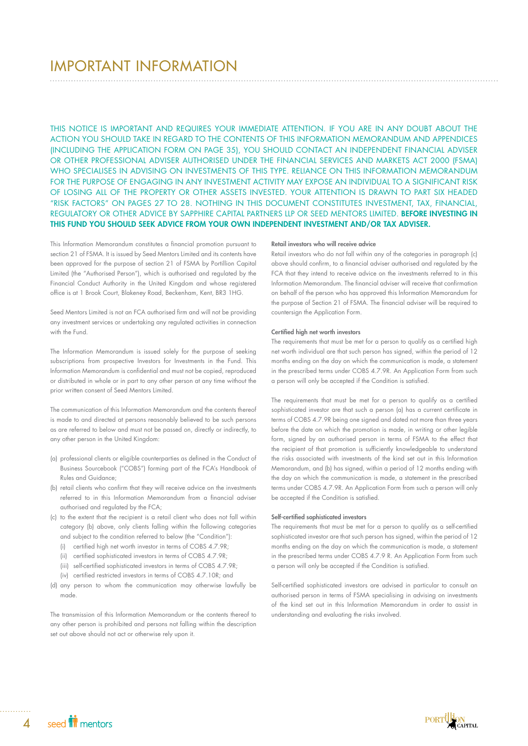# IMPORTANT INFORMATION

THIS NOTICE IS IMPORTANT AND REQUIRES YOUR IMMEDIATE ATTENTION. IF YOU ARE IN ANY DOUBT ABOUT THE ACTION YOU SHOULD TAKE IN REGARD TO THE CONTENTS OF THIS INFORMATION MEMORANDUM AND APPENDICES (INCLUDING THE APPLICATION FORM ON PAGE 35), YOU SHOULD CONTACT AN INDEPENDENT FINANCIAL ADVISER OR OTHER PROFESSIONAL ADVISER AUTHORISED UNDER THE FINANCIAL SERVICES AND MARKETS ACT 2000 (FSMA) WHO SPECIALISES IN ADVISING ON INVESTMENTS OF THIS TYPE. RELIANCE ON THIS INFORMATION MEMORANDUM FOR THE PURPOSE OF ENGAGING IN ANY INVESTMENT ACTIVITY MAY EXPOSE AN INDIVIDUAL TO A SIGNIFICANT RISK OF LOSING ALL OF THE PROPERTY OR OTHER ASSETS INVESTED. YOUR ATTENTION IS DRAWN TO PART SIX HEADED "RISK FACTORS" ON PAGES 27 TO 28. NOTHING IN THIS DOCUMENT CONSTITUTES INVESTMENT, TAX, FINANCIAL, REGULATORY OR OTHER ADVICE BY SAPPHIRE CAPITAL PARTNERS LLP OR SEED MENTORS LIMITED. BEFORE INVESTING IN THIS FUND YOU SHOULD SEEK ADVICE FROM YOUR OWN INDEPENDENT INVESTMENT AND/OR TAX ADVISER.

This Information Memorandum constitutes a financial promotion pursuant to section 21 of FSMA. It is issued by Seed Mentors Limited and its contents have been approved for the purpose of section 21 of FSMA by Portillion Capital Limited (the "Authorised Person"), which is authorised and regulated by the Financial Conduct Authority in the United Kingdom and whose registered office is at 1 Brook Court, Blakeney Road, Beckenham, Kent, BR3 1HG.

Seed Mentors Limited is not an FCA authorised firm and will not be providing any investment services or undertaking any regulated activities in connection with the Fund.

The Information Memorandum is issued solely for the purpose of seeking subscriptions from prospective Investors for Investments in the Fund. This Information Memorandum is confidential and must not be copied, reproduced or distributed in whole or in part to any other person at any time without the prior written consent of Seed Mentors Limited.

The communication of this Information Memorandum and the contents thereof is made to and directed at persons reasonably believed to be such persons as are referred to below and must not be passed on, directly or indirectly, to any other person in the United Kingdom:

- (a) professional clients or eligible counterparties as defined in the Conduct of Business Sourcebook ("COBS") forming part of the FCA's Handbook of Rules and Guidance;
- (b) retail clients who confirm that they will receive advice on the investments referred to in this Information Memorandum from a financial adviser authorised and regulated by the FCA;
- (c) to the extent that the recipient is a retail client who does not fall within category (b) above, only clients falling within the following categories and subject to the condition referred to below (the "Condition"):
	- (i) certified high net worth investor in terms of COBS 4.7.9R;
	- (ii) certified sophisticated investors in terms of COBS 4.7.9R;
	- (iii) self-certified sophisticated investors in terms of COBS 4.7.9R;
	- (iv) certified restricted investors in terms of COBS 4.7.10R; and
- (d) any person to whom the communication may otherwise lawfully be made.

The transmission of this Information Memorandum or the contents thereof to any other person is prohibited and persons not falling within the description set out above should not act or otherwise rely upon it.

#### Retail investors who will receive advice

Retail investors who do not fall within any of the categories in paragraph (c) above should confirm, to a financial adviser authorised and regulated by the FCA that they intend to receive advice on the investments referred to in this Information Memorandum. The financial adviser will receive that confirmation on behalf of the person who has approved this Information Memorandum for the purpose of Section 21 of FSMA. The financial adviser will be required to countersign the Application Form.

#### Certified high net worth investors

The requirements that must be met for a person to qualify as a certified high net worth individual are that such person has signed, within the period of 12 months ending on the day on which the communication is made, a statement in the prescribed terms under COBS 4.7.9R. An Application Form from such a person will only be accepted if the Condition is satisfied.

The requirements that must be met for a person to qualify as a certified sophisticated investor are that such a person (a) has a current certificate in terms of COBS 4.7.9R being one signed and dated not more than three years before the date on which the promotion is made, in writing or other legible form, signed by an authorised person in terms of FSMA to the effect that the recipient of that promotion is sufficiently knowledgeable to understand the risks associated with investments of the kind set out in this Information Memorandum, and (b) has signed, within a period of 12 months ending with the day on which the communication is made, a statement in the prescribed terms under COBS 4.7.9R. An Application Form from such a person will only be accepted if the Condition is satisfied.

## Self-certified sophisticated investors

The requirements that must be met for a person to qualify as a self-certified sophisticated investor are that such person has signed, within the period of 12 months ending on the day on which the communication is made, a statement in the prescribed terms under COBS 4.7.9 R. An Application Form from such a person will only be accepted if the Condition is satisfied.

Self-certified sophisticated investors are advised in particular to consult an authorised person in terms of FSMA specialising in advising on investments of the kind set out in this Information Memorandum in order to assist in understanding and evaluating the risks involved.

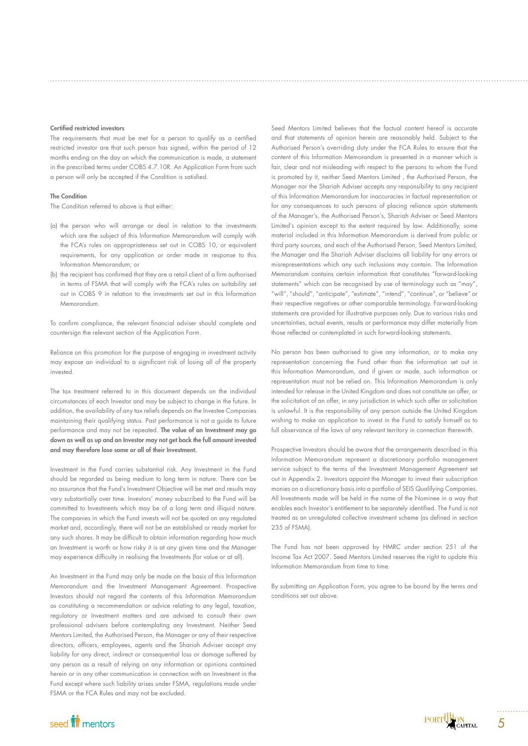#### Certified restricted investors

The requirements that must be met for a person to qualify as a certified restricted investor are that such person has signed, within the period of 12 months ending on the day on which the communication is made, a statement in the prescribed terms under COBS 4.7.10R. An Application Form from such a person will only be accepted if the Condition is satisfied.

### The Condition

The Condition referred to above is that either:

- (a) the person who will arrange or deal in relation to the investments which are the subject of this Information Memorandum will comply with the FCA's rules on appropriateness set out in COBS 10, or equivalent requirements, for any application or order made in response to this Information Memorandum; or
- (b) the recipient has confirmed that they are a retail client of a firm authorised in terms of FSMA that will comply with the FCA's rules on suitability set out in COBS 9 in relation to the investments set out in this Information Memorandum.

To confirm compliance, the relevant financial adviser should complete and countersign the relevant section of the Application Form.

Reliance on this promotion for the purpose of engaging in investment activity may expose an individual to a significant risk of losing all of the property invested.

The tax treatment referred to in this document depends on the individual circumstances of each Investor and may be subject to change in the future. In addition, the availability of any tax reliefs depends on the Investee Companies maintaining their qualifying status. Past performance is not a guide to future performance and may not be repeated. The value of an Investment may go down as well as up and an Investor may not get back the full amount invested and may therefore lose some or all of their Investment.

Investment in the Fund carries substantial risk. Any Investment in the Fund should be regarded as being medium to long term in nature. There can be no assurance that the Fund's Investment Objective will be met and results may vary substantially over time. Investors' money subscribed to the Fund will be committed to Investments which may be of a long term and illiquid nature. The companies in which the Fund invests will not be quoted on any regulated market and, accordingly, there will not be an established or ready market for any such shares. It may be difficult to obtain information regarding how much an Investment is worth or how risky it is at any given time and the Manager may experience difficulty in realising the Investments (for value or at all).

An Investment in the Fund may only be made on the basis of this Information Memorandum and the Investment Management Agreement. Prospective Investors should not regard the contents of this Information Memorandum as constituting a recommendation or advice relating to any legal, taxation, regulatory or Investment matters and are advised to consult their own professional advisers before contemplating any Investment. Neither Seed Mentors Limited, the Authorised Person, the Manager or any of their respective directors, officers, employees, agents and the Shariah Adviser accept any liability for any direct, indirect or consequential loss or damage suffered by any person as a result of relying on any information or opinions contained herein or in any other communication in connection with an Investment in the Fund except where such liability arises under FSMA, regulations made under FSMA or the FCA Rules and may not be excluded.

Seed Mentors Limited believes that the factual content hereof is accurate and that statements of opinion herein are reasonably held. Subject to the Authorised Person's overriding duty under the FCA Rules to ensure that the content of this Information Memorandum is presented in a manner which is fair, clear and not misleading with respect to the persons to whom the Fund is promoted by it, neither Seed Mentors Limited , the Authorised Person, the Manager nor the Shariah Adviser accepts any responsibility to any recipient of this Information Memorandum for inaccuracies in factual representation or for any consequences to such persons of placing reliance upon statements of the Manager's, the Authorised Person's, Shariah Adviser or Seed Mentors Limited's opinion except to the extent required by law. Additionally, some material included in this Information Memorandum is derived from public or third party sources, and each of the Authorised Person, Seed Mentors Limited, the Manager and the Shariah Adviser disclaims all liability for any errors or misrepresentations which any such inclusions may contain. The Information Memorandum contains certain information that constitutes "forward-looking statements" which can be recognised by use of terminology such as "may", "will", "should", "anticipate", "estimate", "intend", "continue", or "believe" or their respective negatives or other comparable terminology. Forward-looking statements are provided for illustrative purposes only. Due to various risks and uncertainties, actual events, results or performance may differ materially from those reflected or contemplated in such forward-looking statements.

No person has been authorised to give any information, or to make any representation concerning the Fund other than the information set out in this Information Memorandum, and if given or made, such information or representation must not be relied on. This Information Memorandum is only intended for release in the United Kingdom and does not constitute an offer, or the solicitation of an offer, in any jurisdiction in which such offer or solicitation is unlawful. It is the responsibility of any person outside the United Kingdom wishing to make an application to invest in the Fund to satisfy himself as to full observance of the laws of any relevant territory in connection therewith.

Prospective Investors should be aware that the arrangements described in this Information Memorandum represent a discretionary portfolio management service subject to the terms of the Investment Management Agreement set out in Appendix 2. Investors appoint the Manager to invest their subscription monies on a discretionary basis into a portfolio of SEIS Qualifying Companies. All Investments made will be held in the name of the Nominee in a way that enables each Investor's entitlement to be separately identified. The Fund is not treated as an unregulated collective investment scheme (as defined in section 235 of FSMA).

The Fund has not been approved by HMRC under section 251 of the Income Tax Act 2007. Seed Mentors Limited reserves the right to update this Information Memorandum from time to time.

By submitting an Application Form, you agree to be bound by the terms and conditions set out above.

# seed **in** mentors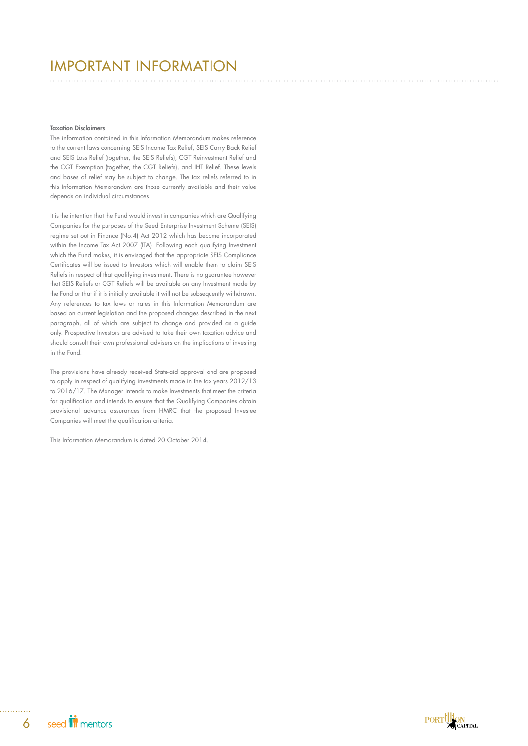# IMPORTANT INFORMATION

#### Taxation Disclaimers

The information contained in this Information Memorandum makes reference to the current laws concerning SEIS Income Tax Relief, SEIS Carry Back Relief and SEIS Loss Relief (together, the SEIS Reliefs), CGT Reinvestment Relief and the CGT Exemption (together, the CGT Reliefs), and IHT Relief. These levels and bases of relief may be subject to change. The tax reliefs referred to in this Information Memorandum are those currently available and their value depends on individual circumstances.

It is the intention that the Fund would invest in companies which are Qualifying Companies for the purposes of the Seed Enterprise Investment Scheme (SEIS) regime set out in Finance (No.4) Act 2012 which has become incorporated within the Income Tax Act 2007 (ITA). Following each qualifying Investment which the Fund makes, it is envisaged that the appropriate SEIS Compliance Certificates will be issued to Investors which will enable them to claim SEIS Reliefs in respect of that qualifying investment. There is no guarantee however that SEIS Reliefs or CGT Reliefs will be available on any Investment made by the Fund or that if it is initially available it will not be subsequently withdrawn. Any references to tax laws or rates in this Information Memorandum are based on current legislation and the proposed changes described in the next paragraph, all of which are subject to change and provided as a guide only. Prospective Investors are advised to take their own taxation advice and should consult their own professional advisers on the implications of investing in the Fund.

The provisions have already received State-aid approval and are proposed to apply in respect of qualifying investments made in the tax years 2012/13 to 2016/17. The Manager intends to make Investments that meet the criteria for qualification and intends to ensure that the Qualifying Companies obtain provisional advance assurances from HMRC that the proposed Investee Companies will meet the qualification criteria.

This Information Memorandum is dated 20 October 2014.

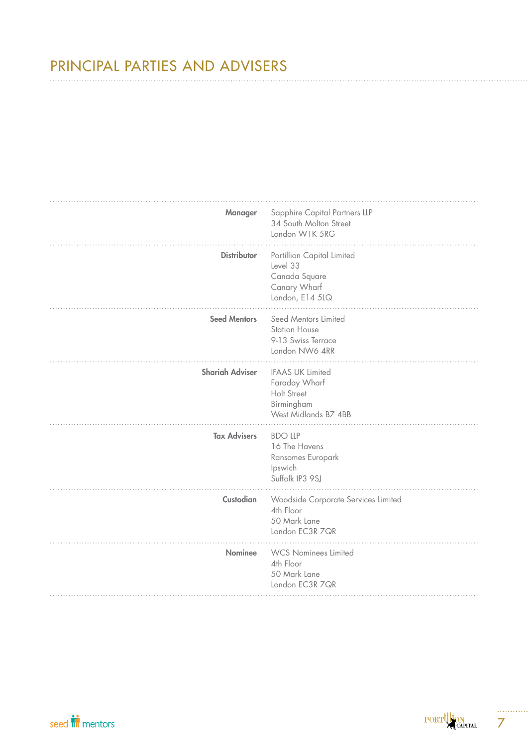# PRINCIPAL PARTIES AND ADVISERS

| Manager                | Sapphire Capital Partners LLP<br>34 South Molton Street<br>London W1K 5RG                     |
|------------------------|-----------------------------------------------------------------------------------------------|
| <b>Distributor</b>     | Portillion Capital Limited<br>Level 33<br>Canada Square<br>Canary Wharf<br>London, E14 5LQ    |
| <b>Seed Mentors</b>    | Seed Mentors Limited<br><b>Station House</b><br>9-13 Swiss Terrace<br>London NW6 4RR          |
| <b>Shariah Adviser</b> | <b>IFAAS UK Limited</b><br>Faraday Wharf<br>Holt Street<br>Birmingham<br>West Midlands B7 4BB |
| <b>Tax Advisers</b>    | <b>BDO LLP</b><br>16 The Havens<br>Ransomes Europark<br>Ipswich<br>Suffolk IP3 9SJ            |
| Custodian              | Woodside Corporate Services Limited<br>4th Floor<br>50 Mark Lane<br>London EC3R 7QR           |
| <b>Nominee</b>         | <b>WCS Nominees Limited</b><br>4th Floor<br>50 Mark Lane<br>London EC3R 7QR                   |

. . . . .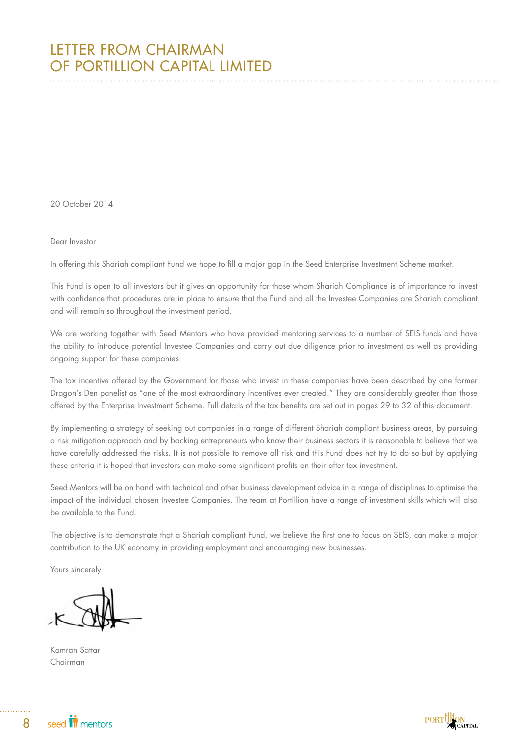20 October 2014

## Dear Investor

In offering this Shariah compliant Fund we hope to fill a major gap in the Seed Enterprise Investment Scheme market.

This Fund is open to all investors but it gives an opportunity for those whom Shariah Compliance is of importance to invest with confidence that procedures are in place to ensure that the Fund and all the Investee Companies are Shariah compliant and will remain so throughout the investment period.

We are working together with Seed Mentors who have provided mentoring services to a number of SEIS funds and have the ability to introduce potential Investee Companies and carry out due diligence prior to investment as well as providing ongoing support for these companies.

The tax incentive offered by the Government for those who invest in these companies have been described by one former Dragon's Den panelist as "one of the most extraordinary incentives ever created." They are considerably greater than those offered by the Enterprise Investment Scheme. Full details of the tax benefits are set out in pages 29 to 32 of this document.

By implementing a strategy of seeking out companies in a range of different Shariah compliant business areas, by pursuing a risk mitigation approach and by backing entrepreneurs who know their business sectors it is reasonable to believe that we have carefully addressed the risks. It is not possible to remove all risk and this Fund does not try to do so but by applying these criteria it is hoped that investors can make some significant profits on their after tax investment.

Seed Mentors will be on hand with technical and other business development advice in a range of disciplines to optimise the impact of the individual chosen Investee Companies. The team at Portillion have a range of investment skills which will also be available to the Fund.

The objective is to demonstrate that a Shariah compliant Fund, we believe the first one to focus on SEIS, can make a major contribution to the UK economy in providing employment and encouraging new businesses.

Yours sincerely

Kamran Sattar Chairman

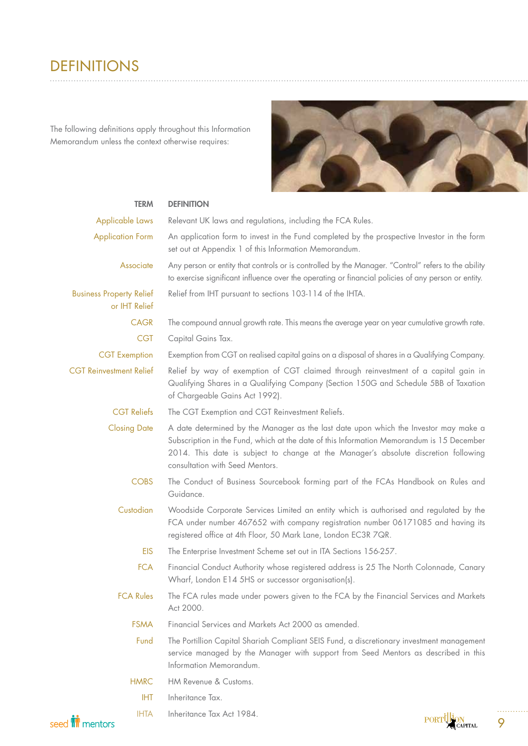# DEFINITIONS. . . . . . . . . . . . . .

The following definitions apply throughout this Information Memorandum unless the context otherwise requires:



| <b>TERM</b>                                      | <b>DEFINITION</b>                                                                                                                                                                                                                                                                                           |
|--------------------------------------------------|-------------------------------------------------------------------------------------------------------------------------------------------------------------------------------------------------------------------------------------------------------------------------------------------------------------|
| Applicable Laws                                  | Relevant UK laws and regulations, including the FCA Rules.                                                                                                                                                                                                                                                  |
| <b>Application Form</b>                          | An application form to invest in the Fund completed by the prospective Investor in the form<br>set out at Appendix 1 of this Information Memorandum.                                                                                                                                                        |
| Associate                                        | Any person or entity that controls or is controlled by the Manager. "Control" refers to the ability<br>to exercise significant influence over the operating or financial policies of any person or entity.                                                                                                  |
| <b>Business Property Relief</b><br>or IHT Relief | Relief from IHT pursuant to sections 103-114 of the IHTA.                                                                                                                                                                                                                                                   |
| <b>CAGR</b>                                      | The compound annual growth rate. This means the average year on year cumulative growth rate.                                                                                                                                                                                                                |
| <b>CGT</b>                                       | Capital Gains Tax.                                                                                                                                                                                                                                                                                          |
| <b>CGT</b> Exemption                             | Exemption from CGT on realised capital gains on a disposal of shares in a Qualifying Company.                                                                                                                                                                                                               |
| <b>CGT Reinvestment Relief</b>                   | Relief by way of exemption of CGT claimed through reinvestment of a capital gain in<br>Qualifying Shares in a Qualifying Company (Section 150G and Schedule 5BB of Taxation<br>of Chargeable Gains Act 1992).                                                                                               |
| <b>CGT Reliefs</b>                               | The CGT Exemption and CGT Reinvestment Reliefs.                                                                                                                                                                                                                                                             |
| <b>Closing Date</b>                              | A date determined by the Manager as the last date upon which the Investor may make a<br>Subscription in the Fund, which at the date of this Information Memorandum is 15 December<br>2014. This date is subject to change at the Manager's absolute discretion following<br>consultation with Seed Mentors. |
| <b>COBS</b>                                      | The Conduct of Business Sourcebook forming part of the FCAs Handbook on Rules and<br>Guidance.                                                                                                                                                                                                              |
| Custodian                                        | Woodside Corporate Services Limited an entity which is authorised and regulated by the<br>FCA under number 467652 with company registration number 06171085 and having its<br>registered office at 4th Floor, 50 Mark Lane, London EC3R 7QR.                                                                |
| <b>EIS</b>                                       | The Enterprise Investment Scheme set out in ITA Sections 156-257.                                                                                                                                                                                                                                           |
| <b>FCA</b>                                       | Financial Conduct Authority whose registered address is 25 The North Colonnade, Canary<br>Wharf, London E14 5HS or successor organisation(s).                                                                                                                                                               |
| <b>FCA Rules</b>                                 | The FCA rules made under powers given to the FCA by the Financial Services and Markets<br>Act 2000.                                                                                                                                                                                                         |
| <b>FSMA</b>                                      | Financial Services and Markets Act 2000 as amended.                                                                                                                                                                                                                                                         |
| Fund                                             | The Portillion Capital Shariah Compliant SEIS Fund, a discretionary investment management<br>service managed by the Manager with support from Seed Mentors as described in this<br>Information Memorandum.                                                                                                  |
| <b>HMRC</b>                                      | HM Revenue & Customs.                                                                                                                                                                                                                                                                                       |
| <b>IHT</b>                                       | Inheritance Tax.                                                                                                                                                                                                                                                                                            |
| <b>IHTA</b>                                      | Inheritance Tax Act 1984.<br>.tllt                                                                                                                                                                                                                                                                          |

 $\text{PORT}^{\text{t}}_{\text{CAPT}}^{\text{Lip}}$ 

9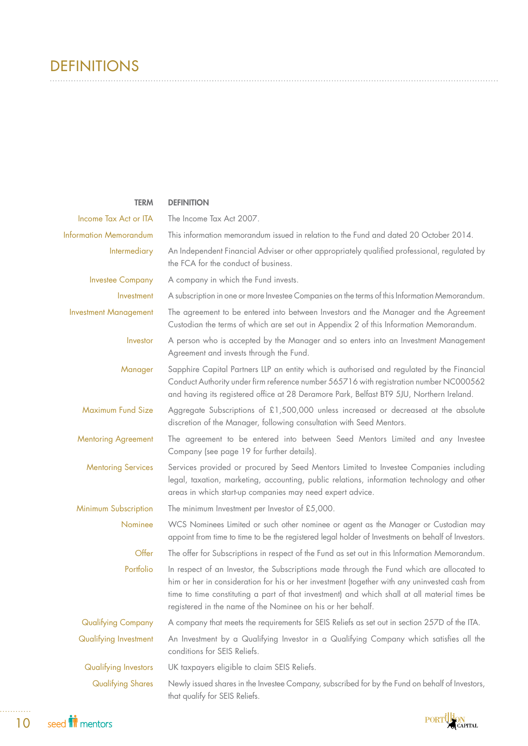# DEFINITIONS

| <b>TERM</b>                   | <b>DEFINITION</b>                                                                                                                                                                                                                                                                                                                                          |
|-------------------------------|------------------------------------------------------------------------------------------------------------------------------------------------------------------------------------------------------------------------------------------------------------------------------------------------------------------------------------------------------------|
| Income Tax Act or ITA         | The Income Tax Act 2007.                                                                                                                                                                                                                                                                                                                                   |
| <b>Information Memorandum</b> | This information memorandum issued in relation to the Fund and dated 20 October 2014.                                                                                                                                                                                                                                                                      |
| Intermediary                  | An Independent Financial Adviser or other appropriately qualified professional, regulated by<br>the FCA for the conduct of business.                                                                                                                                                                                                                       |
| <b>Investee Company</b>       | A company in which the Fund invests.                                                                                                                                                                                                                                                                                                                       |
| Investment                    | A subscription in one or more Investee Companies on the terms of this Information Memorandum.                                                                                                                                                                                                                                                              |
| <b>Investment Management</b>  | The agreement to be entered into between Investors and the Manager and the Agreement<br>Custodian the terms of which are set out in Appendix 2 of this Information Memorandum.                                                                                                                                                                             |
| Investor                      | A person who is accepted by the Manager and so enters into an Investment Management<br>Agreement and invests through the Fund.                                                                                                                                                                                                                             |
| Manager                       | Sapphire Capital Partners LLP an entity which is authorised and regulated by the Financial<br>Conduct Authority under firm reference number 565716 with registration number NC000562<br>and having its registered office at 28 Deramore Park, Belfast BT9 5JU, Northern Ireland.                                                                           |
| Maximum Fund Size             | Aggregate Subscriptions of £1,500,000 unless increased or decreased at the absolute<br>discretion of the Manager, following consultation with Seed Mentors.                                                                                                                                                                                                |
| <b>Mentoring Agreement</b>    | The agreement to be entered into between Seed Mentors Limited and any Investee<br>Company (see page 19 for further details).                                                                                                                                                                                                                               |
| <b>Mentoring Services</b>     | Services provided or procured by Seed Mentors Limited to Investee Companies including<br>legal, taxation, marketing, accounting, public relations, information technology and other<br>areas in which start-up companies may need expert advice.                                                                                                           |
| Minimum Subscription          | The minimum Investment per Investor of £5,000.                                                                                                                                                                                                                                                                                                             |
| Nominee                       | WCS Nominees Limited or such other nominee or agent as the Manager or Custodian may<br>appoint from time to time to be the registered legal holder of Investments on behalf of Investors.                                                                                                                                                                  |
| Offer                         | The offer for Subscriptions in respect of the Fund as set out in this Information Memorandum.                                                                                                                                                                                                                                                              |
| Portfolio                     | In respect of an Investor, the Subscriptions made through the Fund which are allocated to<br>him or her in consideration for his or her investment (together with any uninvested cash from<br>time to time constituting a part of that investment) and which shall at all material times be<br>registered in the name of the Nominee on his or her behalf. |
| <b>Qualifying Company</b>     | A company that meets the requirements for SEIS Reliefs as set out in section 257D of the ITA.                                                                                                                                                                                                                                                              |
| Qualifying Investment         | An Investment by a Qualifying Investor in a Qualifying Company which satisfies all the<br>conditions for SEIS Reliefs.                                                                                                                                                                                                                                     |
| Qualifying Investors          | UK taxpayers eligible to claim SEIS Reliefs.                                                                                                                                                                                                                                                                                                               |
| <b>Qualifying Shares</b>      | Newly issued shares in the Investee Company, subscribed for by the Fund on behalf of Investors,<br>that qualify for SEIS Reliefs.                                                                                                                                                                                                                          |

. . . . . . .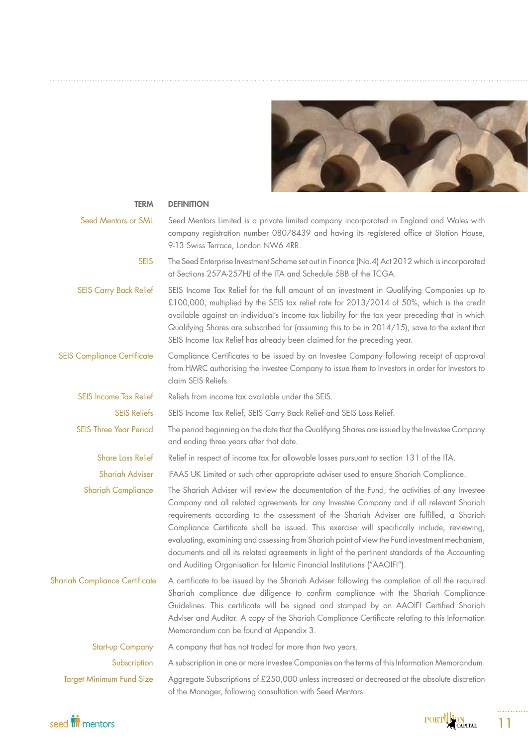

| <b>TERM</b>                           | <b>DEFINITION</b>                                                                                                                                                                                                                                                                                                                                                                                                                                                                                                                                                                                                                                                  |
|---------------------------------------|--------------------------------------------------------------------------------------------------------------------------------------------------------------------------------------------------------------------------------------------------------------------------------------------------------------------------------------------------------------------------------------------------------------------------------------------------------------------------------------------------------------------------------------------------------------------------------------------------------------------------------------------------------------------|
| Seed Mentors or SML                   | Seed Mentors Limited is a private limited company incorporated in England and Wales with<br>company registration number 08078439 and having its registered office at Station House,<br>9-13 Swiss Terrace, London NW6 4RR.                                                                                                                                                                                                                                                                                                                                                                                                                                         |
| <b>SEIS</b>                           | The Seed Enterprise Investment Scheme set out in Finance (No.4) Act 2012 which is incorporated<br>at Sections 257A-257HJ of the ITA and Schedule 5BB of the TCGA.                                                                                                                                                                                                                                                                                                                                                                                                                                                                                                  |
| <b>SEIS Carry Back Relief</b>         | SEIS Income Tax Relief for the full amount of an investment in Qualifying Companies up to<br>£100,000, multiplied by the SEIS tax relief rate for 2013/2014 of 50%, which is the credit<br>available against an individual's income tax liability for the tax year preceding that in which<br>Qualifying Shares are subscribed for (assuming this to be in 2014/15), save to the extent that<br>SEIS Income Tax Relief has already been claimed for the preceding year.                                                                                                                                                                                            |
| <b>SEIS Compliance Certificate</b>    | Compliance Certificates to be issued by an Investee Company following receipt of approval<br>from HMRC authorising the Investee Company to issue them to Investors in order for Investors to<br>claim SEIS Reliefs.                                                                                                                                                                                                                                                                                                                                                                                                                                                |
| <b>SEIS Income Tax Relief</b>         | Reliefs from income tax available under the SEIS.                                                                                                                                                                                                                                                                                                                                                                                                                                                                                                                                                                                                                  |
| <b>SEIS Reliefs</b>                   | SEIS Income Tax Relief, SEIS Carry Back Relief and SEIS Loss Relief.                                                                                                                                                                                                                                                                                                                                                                                                                                                                                                                                                                                               |
| <b>SEIS Three Year Period</b>         | The period beginning on the date that the Qualifying Shares are issued by the Investee Company<br>and ending three years after that date.                                                                                                                                                                                                                                                                                                                                                                                                                                                                                                                          |
| <b>Share Loss Relief</b>              | Relief in respect of income tax for allowable losses pursuant to section 131 of the ITA.                                                                                                                                                                                                                                                                                                                                                                                                                                                                                                                                                                           |
| <b>Shariah Adviser</b>                | IFAAS UK Limited or such other appropriate adviser used to ensure Shariah Compliance.                                                                                                                                                                                                                                                                                                                                                                                                                                                                                                                                                                              |
| <b>Shariah Compliance</b>             | The Shariah Adviser will review the documentation of the Fund, the activities of any Investee<br>Company and all related agreements for any Investee Company and if all relevant Shariah<br>requirements according to the assessment of the Shariah Adviser are fulfilled, a Shariah<br>Compliance Certificate shall be issued. This exercise will specifically include, reviewing,<br>evaluating, examining and assessing from Shariah point of view the Fund investment mechanism,<br>documents and all its related agreements in light of the pertinent standards of the Accounting<br>and Auditing Organisation for Islamic Financial Institutions ("AAOIFI"). |
| <b>Shariah Compliance Certificate</b> | A certificate to be issued by the Shariah Adviser following the completion of all the required<br>Shariah compliance due diligence to confirm compliance with the Shariah Compliance<br>Guidelines. This certificate will be signed and stamped by an AAOIFI Certified Shariah<br>Adviser and Auditor. A copy of the Shariah Compliance Certificate relating to this Information<br>Memorandum can be found at Appendix 3.                                                                                                                                                                                                                                         |
| <b>Start-up Company</b>               | A company that has not traded for more than two years.                                                                                                                                                                                                                                                                                                                                                                                                                                                                                                                                                                                                             |
| Subscription                          | A subscription in one or more Investee Companies on the terms of this Information Memorandum.                                                                                                                                                                                                                                                                                                                                                                                                                                                                                                                                                                      |
| <b>Target Minimum Fund Size</b>       | Aggregate Subscriptions of £250,000 unless increased or decreased at the absolute discretion<br>of the Manager, following consultation with Seed Mentors.                                                                                                                                                                                                                                                                                                                                                                                                                                                                                                          |





11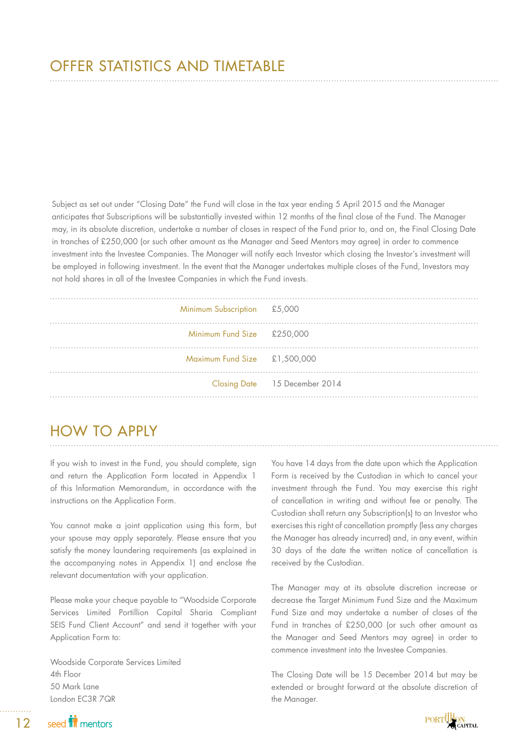Subject as set out under "Closing Date" the Fund will close in the tax year ending 5 April 2015 and the Manager anticipates that Subscriptions will be substantially invested within 12 months of the final close of the Fund. The Manager may, in its absolute discretion, undertake a number of closes in respect of the Fund prior to, and on, the Final Closing Date in tranches of £250,000 (or such other amount as the Manager and Seed Mentors may agree) in order to commence investment into the Investee Companies. The Manager will notify each Investor which closing the Investor's investment will be employed in following investment. In the event that the Manager undertakes multiple closes of the Fund, Investors may not hold shares in all of the Investee Companies in which the Fund invests.

| Minimum Subscription £5,000  |                               |
|------------------------------|-------------------------------|
| Minimum Fund Size £250,000   |                               |
| Maximum Fund Size £1,500,000 |                               |
|                              | Closing Date 15 December 2014 |
|                              |                               |

# HOW TO APPLY

If you wish to invest in the Fund, you should complete, sign and return the Application Form located in Appendix 1 of this Information Memorandum, in accordance with the instructions on the Application Form.

You cannot make a joint application using this form, but your spouse may apply separately. Please ensure that you satisfy the money laundering requirements (as explained in the accompanying notes in Appendix 1) and enclose the relevant documentation with your application.

Please make your cheque payable to "Woodside Corporate Services Limited Portillion Capital Sharia Compliant SEIS Fund Client Account" and send it together with your Application Form to:

Woodside Corporate Services Limited 4th Floor 50 Mark Lane London EC3R 7QR

You have 14 days from the date upon which the Application Form is received by the Custodian in which to cancel your investment through the Fund. You may exercise this right of cancellation in writing and without fee or penalty. The Custodian shall return any Subscription(s) to an Investor who exercises this right of cancellation promptly (less any charges the Manager has already incurred) and, in any event, within 30 days of the date the written notice of cancellation is received by the Custodian.

The Manager may at its absolute discretion increase or decrease the Target Minimum Fund Size and the Maximum Fund Size and may undertake a number of closes of the Fund in tranches of £250,000 (or such other amount as the Manager and Seed Mentors may agree) in order to commence investment into the Investee Companies.

The Closing Date will be 15 December 2014 but may be extended or brought forward at the absolute discretion of the Manager.

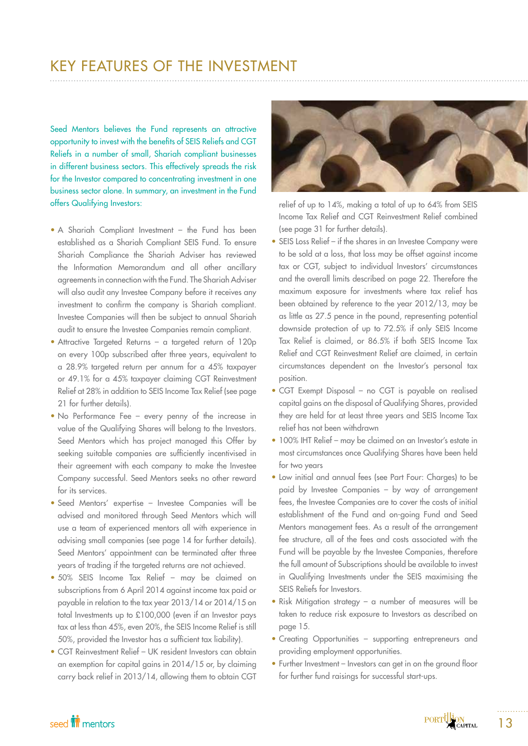# KEY FEATURES OF THE INVESTMENT

Seed Mentors believes the Fund represents an attractive opportunity to invest with the benefits of SEIS Reliefs and CGT Reliefs in a number of small, Shariah compliant businesses in different business sectors. This effectively spreads the risk for the Investor compared to concentrating investment in one business sector alone. In summary, an investment in the Fund offers Qualifying Investors:

- A Shariah Compliant Investment the Fund has been established as a Shariah Compliant SEIS Fund. To ensure Shariah Compliance the Shariah Adviser has reviewed the Information Memorandum and all other ancillary agreements in connection with the Fund. The Shariah Adviser will also audit any Investee Company before it receives any investment to confirm the company is Shariah compliant. Investee Companies will then be subject to annual Shariah audit to ensure the Investee Companies remain compliant.
- Attractive Targeted Returns a targeted return of 120p on every 100p subscribed after three years, equivalent to a 28.9% targeted return per annum for a 45% taxpayer or 49.1% for a 45% taxpayer claiming CGT Reinvestment Relief at 28% in addition to SEIS Income Tax Relief (see page 21 for further details).
- No Performance Fee every penny of the increase in value of the Qualifying Shares will belong to the Investors. Seed Mentors which has project managed this Offer by seeking suitable companies are sufficiently incentivised in their agreement with each company to make the Investee Company successful. Seed Mentors seeks no other reward for its services.
- Seed Mentors' expertise Investee Companies will be advised and monitored through Seed Mentors which will use a team of experienced mentors all with experience in advising small companies (see page 14 for further details). Seed Mentors' appointment can be terminated after three years of trading if the targeted returns are not achieved.
- 50% SEIS Income Tax Relief may be claimed on subscriptions from 6 April 2014 against income tax paid or payable in relation to the tax year 2013/14 or 2014/15 on total Investments up to £100,000 (even if an Investor pays tax at less than 45%, even 20%, the SEIS Income Relief is still 50%, provided the Investor has a sufficient tax liability).
- CGT Reinvestment Relief UK resident Investors can obtain an exemption for capital gains in 2014/15 or, by claiming carry back relief in 2013/14, allowing them to obtain CGT



relief of up to 14%, making a total of up to 64% from SEIS Income Tax Relief and CGT Reinvestment Relief combined (see page 31 for further details).

- SEIS Loss Relief if the shares in an Investee Company were to be sold at a loss, that loss may be offset against income tax or CGT, subject to individual Investors' circumstances and the overall limits described on page 22. Therefore the maximum exposure for investments where tax relief has been obtained by reference to the year 2012/13, may be as little as 27.5 pence in the pound, representing potential downside protection of up to 72.5% if only SEIS Income Tax Relief is claimed, or 86.5% if both SEIS Income Tax Relief and CGT Reinvestment Relief are claimed, in certain circumstances dependent on the Investor's personal tax position.
- CGT Exempt Disposal no CGT is payable on realised capital gains on the disposal of Qualifying Shares, provided they are held for at least three years and SEIS Income Tax relief has not been withdrawn
- 100% IHT Relief may be claimed on an Investor's estate in most circumstances once Qualifying Shares have been held for two years
- Low initial and annual fees (see Part Four: Charges) to be paid by Investee Companies – by way of arrangement fees, the Investee Companies are to cover the costs of initial establishment of the Fund and on-going Fund and Seed Mentors management fees. As a result of the arrangement fee structure, all of the fees and costs associated with the Fund will be payable by the Investee Companies, therefore the full amount of Subscriptions should be available to invest in Qualifying Investments under the SEIS maximising the SEIS Reliefs for Investors.
- Risk Mitigation strategy a number of measures will be taken to reduce risk exposure to Investors as described on page 15.
- Creating Opportunities supporting entrepreneurs and providing employment opportunities.
- Further Investment Investors can get in on the ground floor for further fund raisings for successful start-ups.

# seed **in** mentors

13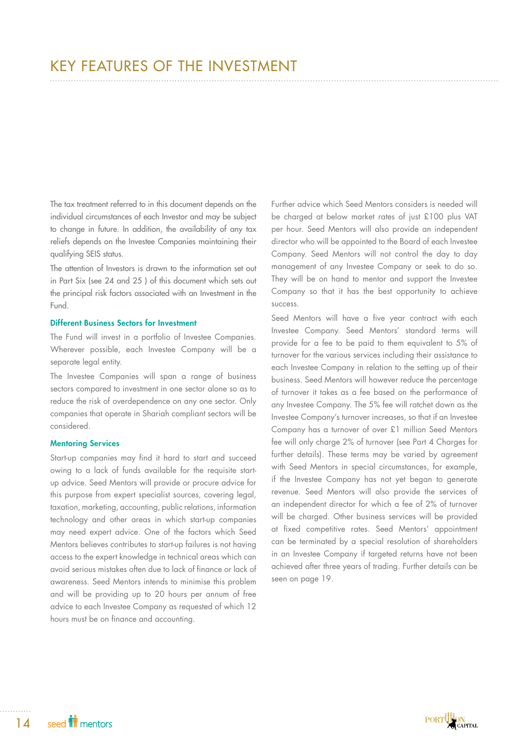The tax treatment referred to in this document depends on the individual circumstances of each Investor and may be subject to change in future. In addition, the availability of any tax reliefs depends on the Investee Companies maintaining their qualifying SEIS status.

The attention of Investors is drawn to the information set out in Part Six (see 24 and 25 ) of this document which sets out the principal risk factors associated with an Investment in the Fund.

## Different Business Sectors for Investment

The Fund will invest in a portfolio of Investee Companies. Wherever possible, each Investee Company will be a separate legal entity.

The Investee Companies will span a range of business sectors compared to investment in one sector alone so as to reduce the risk of overdependence on any one sector. Only companies that operate in Shariah compliant sectors will be considered.

## Mentoring Services

Start-up companies may find it hard to start and succeed owing to a lack of funds available for the requisite startup advice. Seed Mentors will provide or procure advice for this purpose from expert specialist sources, covering legal, taxation, marketing, accounting, public relations, information technology and other areas in which start-up companies may need expert advice. One of the factors which Seed Mentors believes contributes to start-up failures is not having access to the expert knowledge in technical areas which can avoid serious mistakes often due to lack of finance or lack of awareness. Seed Mentors intends to minimise this problem and will be providing up to 20 hours per annum of free advice to each Investee Company as requested of which 12 hours must be on finance and accounting.

Further advice which Seed Mentors considers is needed will be charged at below market rates of just £100 plus VAT per hour. Seed Mentors will also provide an independent director who will be appointed to the Board of each Investee Company. Seed Mentors will not control the day to day management of any Investee Company or seek to do so. They will be on hand to mentor and support the Investee Company so that it has the best opportunity to achieve success.

Seed Mentors will have a five year contract with each Investee Company. Seed Mentors' standard terms will provide for a fee to be paid to them equivalent to 5% of turnover for the various services including their assistance to each Investee Company in relation to the setting up of their business. Seed Mentors will however reduce the percentage of turnover it takes as a fee based on the performance of any Investee Company. The 5% fee will ratchet down as the Investee Company's turnover increases, so that if an Investee Company has a turnover of over £1 million Seed Mentors fee will only charge 2% of turnover (see Part 4 Charges for further details). These terms may be varied by agreement with Seed Mentors in special circumstances, for example, if the Investee Company has not yet began to generate revenue. Seed Mentors will also provide the services of an independent director for which a fee of 2% of turnover will be charged. Other business services will be provided at fixed competitive rates. Seed Mentors' appointment can be terminated by a special resolution of shareholders in an Investee Company if targeted returns have not been achieved after three years of trading. Further details can be seen on page 19.

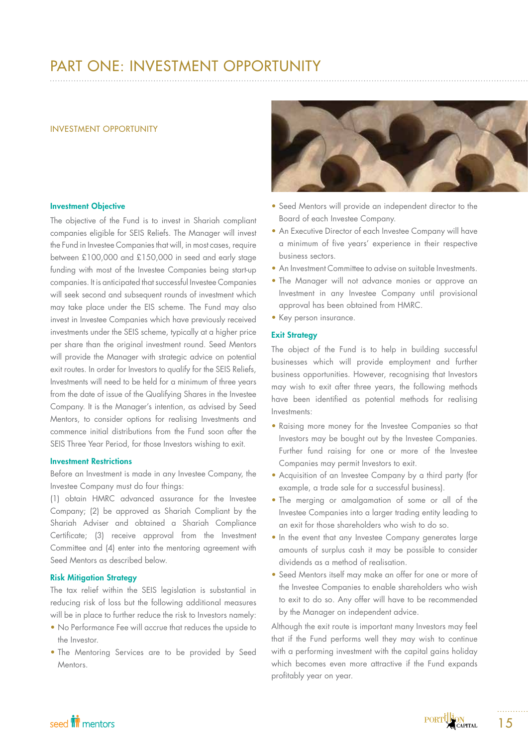# PART ONE: INVESTMENT OPPORTUNITY

### INVESTMENT OPPORTUNITY

### Investment Objective

The objective of the Fund is to invest in Shariah compliant companies eligible for SEIS Reliefs. The Manager will invest the Fund in Investee Companies that will, in most cases, require between £100,000 and £150,000 in seed and early stage funding with most of the Investee Companies being start-up companies. It is anticipated that successful Investee Companies will seek second and subsequent rounds of investment which may take place under the EIS scheme. The Fund may also invest in Investee Companies which have previously received investments under the SEIS scheme, typically at a higher price per share than the original investment round. Seed Mentors will provide the Manager with strategic advice on potential exit routes. In order for Investors to qualify for the SEIS Reliefs, Investments will need to be held for a minimum of three years from the date of issue of the Qualifying Shares in the Investee Company. It is the Manager's intention, as advised by Seed Mentors, to consider options for realising Investments and commence initial distributions from the Fund soon after the SEIS Three Year Period, for those Investors wishing to exit.

## Investment Restrictions

Before an Investment is made in any Investee Company, the Investee Company must do four things:

(1) obtain HMRC advanced assurance for the Investee Company; (2) be approved as Shariah Compliant by the Shariah Adviser and obtained a Shariah Compliance Certificate; (3) receive approval from the Investment Committee and (4) enter into the mentoring agreement with Seed Mentors as described below.

## Risk Mitigation Strategy

The tax relief within the SEIS legislation is substantial in reducing risk of loss but the following additional measures will be in place to further reduce the risk to Investors namely:

- No Performance Fee will accrue that reduces the upside to the Investor.
- The Mentoring Services are to be provided by Seed Mentors.



- Seed Mentors will provide an independent director to the Board of each Investee Company.
- An Executive Director of each Investee Company will have a minimum of five years' experience in their respective business sectors.
- An Investment Committee to advise on suitable Investments.
- The Manager will not advance monies or approve an Investment in any Investee Company until provisional approval has been obtained from HMRC.
- Key person insurance.

## **Exit Strategy**

The object of the Fund is to help in building successful businesses which will provide employment and further business opportunities. However, recognising that Investors may wish to exit after three years, the following methods have been identified as potential methods for realising Investments:

- Raising more money for the Investee Companies so that Investors may be bought out by the Investee Companies. Further fund raising for one or more of the Investee Companies may permit Investors to exit.
- Acquisition of an Investee Company by a third party (for example, a trade sale for a successful business).
- The merging or amalgamation of some or all of the Investee Companies into a larger trading entity leading to an exit for those shareholders who wish to do so.
- In the event that any Investee Company generates large amounts of surplus cash it may be possible to consider dividends as a method of realisation.
- Seed Mentors itself may make an offer for one or more of the Investee Companies to enable shareholders who wish to exit to do so. Any offer will have to be recommended by the Manager on independent advice.

Although the exit route is important many Investors may feel that if the Fund performs well they may wish to continue with a performing investment with the capital gains holiday which becomes even more attractive if the Fund expands profitably year on year.

# seed **in** mentors

15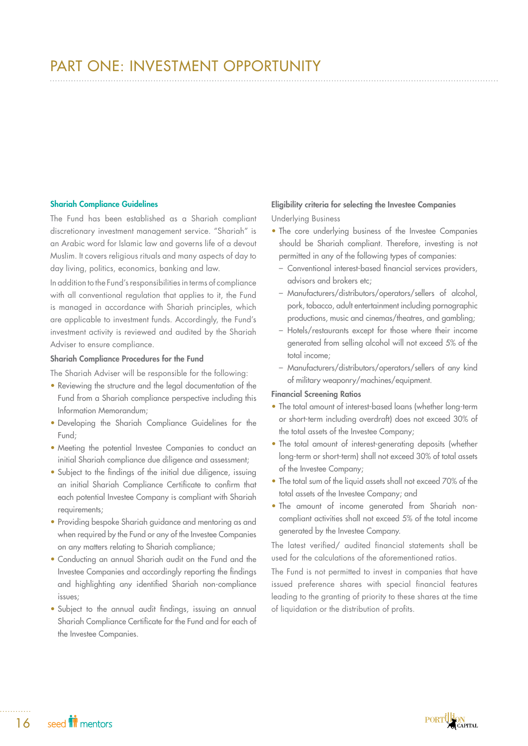# PART ONE: INVESTMENT OPPORTUNITY

## Shariah Compliance Guidelines

The Fund has been established as a Shariah compliant discretionary investment management service. "Shariah" is an Arabic word for Islamic law and governs life of a devout Muslim. It covers religious rituals and many aspects of day to day living, politics, economics, banking and law.

In addition to the Fund's responsibilities in terms of compliance with all conventional regulation that applies to it, the Fund is managed in accordance with Shariah principles, which are applicable to investment funds. Accordingly, the Fund's investment activity is reviewed and audited by the Shariah Adviser to ensure compliance.

## Shariah Compliance Procedures for the Fund

The Shariah Adviser will be responsible for the following:

- Reviewing the structure and the legal documentation of the Fund from a Shariah compliance perspective including this Information Memorandum;
- Developing the Shariah Compliance Guidelines for the Fund;
- Meeting the potential Investee Companies to conduct an initial Shariah compliance due diligence and assessment;
- Subject to the findings of the initial due diligence, issuing an initial Shariah Compliance Certificate to confirm that each potential Investee Company is compliant with Shariah requirements;
- Providing bespoke Shariah guidance and mentoring as and when required by the Fund or any of the Investee Companies on any matters relating to Shariah compliance;
- Conducting an annual Shariah audit on the Fund and the Investee Companies and accordingly reporting the findings and highlighting any identified Shariah non-compliance issues;
- Subject to the annual audit findings, issuing an annual Shariah Compliance Certificate for the Fund and for each of the Investee Companies.

## Eligibility criteria for selecting the Investee Companies

Underlying Business

- The core underlying business of the Investee Companies should be Shariah compliant. Therefore, investing is not permitted in any of the following types of companies:
	- Conventional interest-based financial services providers, advisors and brokers etc;
	- Manufacturers/distributors/operators/sellers of alcohol, pork, tobacco, adult entertainment including pornographic productions, music and cinemas/theatres, and gambling;
	- Hotels/restaurants except for those where their income generated from selling alcohol will not exceed 5% of the total income;
	- Manufacturers/distributors/operators/sellers of any kind of military weaponry/machines/equipment.

# Financial Screening Ratios

- The total amount of interest-based loans (whether long-term or short-term including overdraft) does not exceed 30% of the total assets of the Investee Company;
- The total amount of interest-generating deposits (whether long-term or short-term) shall not exceed 30% of total assets of the Investee Company;
- The total sum of the liquid assets shall not exceed 70% of the total assets of the Investee Company; and
- The amount of income generated from Shariah noncompliant activities shall not exceed 5% of the total income generated by the Investee Company.

The latest verified/ audited financial statements shall be used for the calculations of the aforementioned ratios.

The Fund is not permitted to invest in companies that have issued preference shares with special financial features leading to the granting of priority to these shares at the time of liquidation or the distribution of profits.

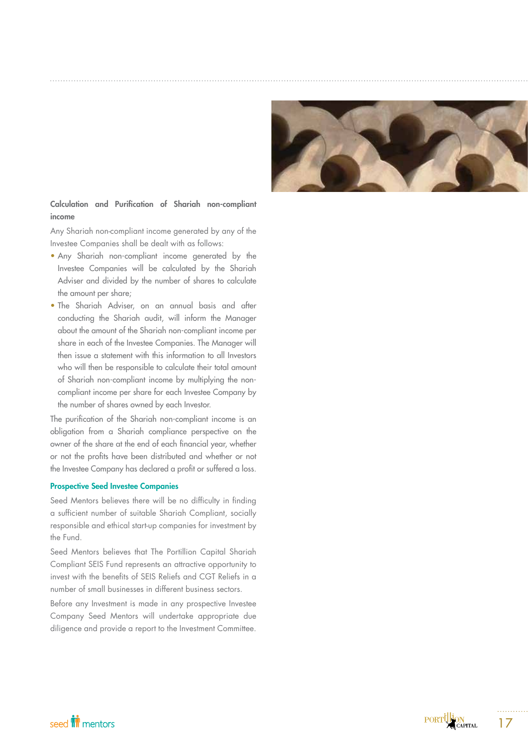

# Calculation and Purification of Shariah non-compliant income

Any Shariah non-compliant income generated by any of the Investee Companies shall be dealt with as follows:

- Any Shariah non-compliant income generated by the Investee Companies will be calculated by the Shariah Adviser and divided by the number of shares to calculate the amount per share;
- The Shariah Adviser, on an annual basis and after conducting the Shariah audit, will inform the Manager about the amount of the Shariah non-compliant income per share in each of the Investee Companies. The Manager will then issue a statement with this information to all Investors who will then be responsible to calculate their total amount of Shariah non-compliant income by multiplying the noncompliant income per share for each Investee Company by the number of shares owned by each Investor.

The purification of the Shariah non-compliant income is an obligation from a Shariah compliance perspective on the owner of the share at the end of each financial year, whether or not the profits have been distributed and whether or not the Investee Company has declared a profit or suffered a loss.

## Prospective Seed Investee Companies

Seed Mentors believes there will be no difficulty in finding a sufficient number of suitable Shariah Compliant, socially responsible and ethical start-up companies for investment by the Fund.

Seed Mentors believes that The Portillion Capital Shariah Compliant SEIS Fund represents an attractive opportunity to invest with the benefits of SEIS Reliefs and CGT Reliefs in a number of small businesses in different business sectors.

Before any Investment is made in any prospective Investee Company Seed Mentors will undertake appropriate due diligence and provide a report to the Investment Committee.

seed **in** mentors

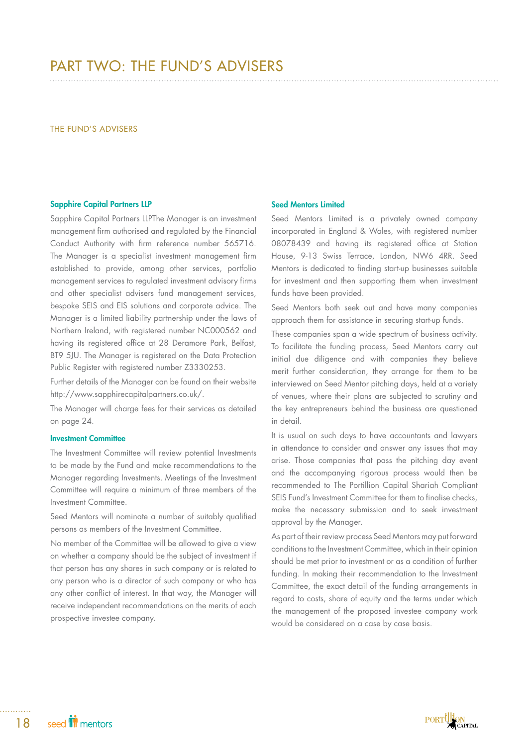# PART TWO: THE FUND'S ADVISERS

#### THE FUND'S ADVISERS

## Sapphire Capital Partners LLP

Sapphire Capital Partners LLPThe Manager is an investment management firm authorised and regulated by the Financial Conduct Authority with firm reference number 565716. The Manager is a specialist investment management firm established to provide, among other services, portfolio management services to regulated investment advisory firms and other specialist advisers fund management services, bespoke SEIS and EIS solutions and corporate advice. The Manager is a limited liability partnership under the laws of Northern Ireland, with registered number NC000562 and having its registered office at 28 Deramore Park, Belfast, BT9 5JU. The Manager is registered on the Data Protection Public Register with registered number Z3330253.

Further details of the Manager can be found on their website http://www.sapphirecapitalpartners.co.uk/.

The Manager will charge fees for their services as detailed on page 24.

## Investment Committee

The Investment Committee will review potential Investments to be made by the Fund and make recommendations to the Manager regarding Investments. Meetings of the Investment Committee will require a minimum of three members of the Investment Committee.

Seed Mentors will nominate a number of suitably qualified persons as members of the Investment Committee.

No member of the Committee will be allowed to give a view on whether a company should be the subject of investment if that person has any shares in such company or is related to any person who is a director of such company or who has any other conflict of interest. In that way, the Manager will receive independent recommendations on the merits of each prospective investee company.

## Seed Mentors Limited

Seed Mentors Limited is a privately owned company incorporated in England & Wales, with registered number 08078439 and having its registered office at Station House, 9-13 Swiss Terrace, London, NW6 4RR. Seed Mentors is dedicated to finding start-up businesses suitable for investment and then supporting them when investment funds have been provided.

Seed Mentors both seek out and have many companies approach them for assistance in securing start-up funds.

These companies span a wide spectrum of business activity. To facilitate the funding process, Seed Mentors carry out initial due diligence and with companies they believe merit further consideration, they arrange for them to be interviewed on Seed Mentor pitching days, held at a variety of venues, where their plans are subjected to scrutiny and the key entrepreneurs behind the business are questioned in detail.

It is usual on such days to have accountants and lawyers in attendance to consider and answer any issues that may arise. Those companies that pass the pitching day event and the accompanying rigorous process would then be recommended to The Portillion Capital Shariah Compliant SEIS Fund's Investment Committee for them to finalise checks, make the necessary submission and to seek investment approval by the Manager.

As part of their review process Seed Mentors may put forward conditions to the Investment Committee, which in their opinion should be met prior to investment or as a condition of further funding. In making their recommendation to the Investment Committee, the exact detail of the funding arrangements in regard to costs, share of equity and the terms under which the management of the proposed investee company work would be considered on a case by case basis.

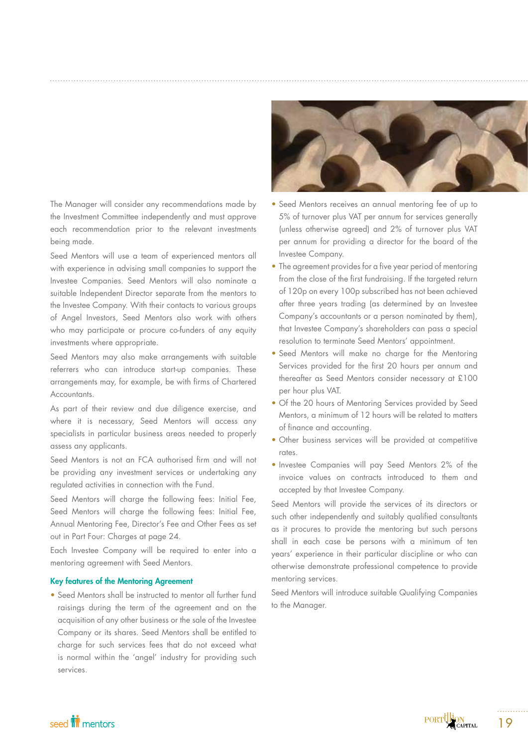The Manager will consider any recommendations made by the Investment Committee independently and must approve each recommendation prior to the relevant investments being made.

Seed Mentors will use a team of experienced mentors all with experience in advising small companies to support the Investee Companies. Seed Mentors will also nominate a suitable Independent Director separate from the mentors to the Investee Company. With their contacts to various groups of Angel Investors, Seed Mentors also work with others who may participate or procure co-funders of any equity investments where appropriate.

Seed Mentors may also make arrangements with suitable referrers who can introduce start-up companies. These arrangements may, for example, be with firms of Chartered Accountants.

As part of their review and due diligence exercise, and where it is necessary, Seed Mentors will access any specialists in particular business areas needed to properly assess any applicants.

Seed Mentors is not an FCA authorised firm and will not be providing any investment services or undertaking any regulated activities in connection with the Fund.

Seed Mentors will charge the following fees: Initial Fee, Seed Mentors will charge the following fees: Initial Fee, Annual Mentoring Fee, Director's Fee and Other Fees as set out in Part Four: Charges at page 24.

Each Investee Company will be required to enter into a mentoring agreement with Seed Mentors.

## Key features of the Mentoring Agreement

• Seed Mentors shall be instructed to mentor all further fund raisings during the term of the agreement and on the acquisition of any other business or the sale of the Investee Company or its shares. Seed Mentors shall be entitled to charge for such services fees that do not exceed what is normal within the 'angel' industry for providing such services.



- Seed Mentors receives an annual mentoring fee of up to 5% of turnover plus VAT per annum for services generally (unless otherwise agreed) and 2% of turnover plus VAT per annum for providing a director for the board of the Investee Company.
- The agreement provides for a five year period of mentoring from the close of the first fundraising. If the targeted return of 120p on every 100p subscribed has not been achieved after three years trading (as determined by an Investee Company's accountants or a person nominated by them), that Investee Company's shareholders can pass a special resolution to terminate Seed Mentors' appointment.
- Seed Mentors will make no charge for the Mentoring Services provided for the first 20 hours per annum and thereafter as Seed Mentors consider necessary at £100 per hour plus VAT.
- Of the 20 hours of Mentoring Services provided by Seed Mentors, a minimum of 12 hours will be related to matters of finance and accounting.
- Other business services will be provided at competitive rates.
- Investee Companies will pay Seed Mentors 2% of the invoice values on contracts introduced to them and accepted by that Investee Company.

Seed Mentors will provide the services of its directors or such other independently and suitably qualified consultants as it procures to provide the mentoring but such persons shall in each case be persons with a minimum of ten years' experience in their particular discipline or who can otherwise demonstrate professional competence to provide mentoring services.

Seed Mentors will introduce suitable Qualifying Companies to the Manager.

# seed **in** mentors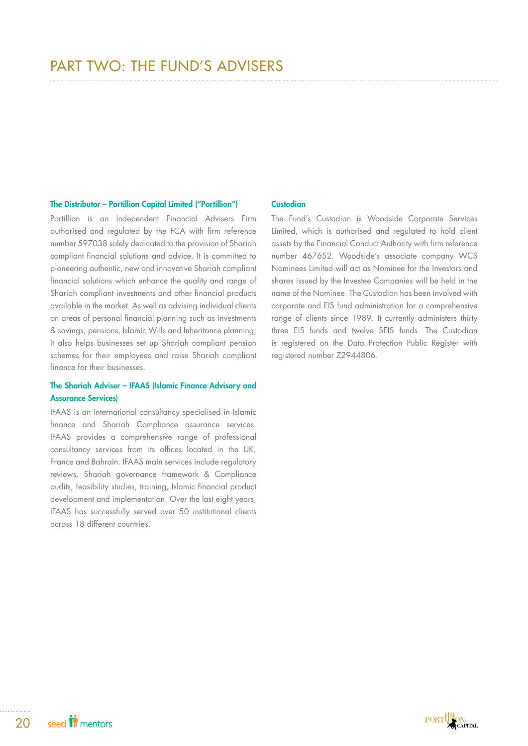## The Distributor – Portillion Capital Limited ("Portillion")

Portillion is an Independent Financial Advisers Firm authorised and regulated by the FCA with firm reference number 597038 solely dedicated to the provision of Shariah compliant financial solutions and advice. It is committed to pioneering authentic, new and innovative Shariah compliant financial solutions which enhance the quality and range of Shariah compliant investments and other financial products available in the market. As well as advising individual clients on areas of personal financial planning such as investments & savings, pensions, Islamic Wills and Inheritance planning; it also helps businesses set up Shariah compliant pension schemes for their employees and raise Shariah compliant finance for their businesses.

# The Shariah Adviser – IFAAS (Islamic Finance Advisory and Assurance Services)

IFAAS is an international consultancy specialised in Islamic finance and Shariah Compliance assurance services. IFAAS provides a comprehensive range of professional consultancy services from its offices located in the UK, France and Bahrain. IFAAS main services include regulatory reviews, Shariah governance framework & Compliance audits, feasibility studies, training, Islamic financial product development and implementation. Over the last eight years, IFAAS has successfully served over 50 institutional clients across 18 different countries.

### **Custodian**

The Fund's Custodian is Woodside Corporate Services Limited, which is authorised and regulated to hold client assets by the Financial Conduct Authority with firm reference number 467652. Woodside's associate company WCS Nominees Limited will act as Nominee for the Investors and shares issued by the Investee Companies will be held in the name of the Nominee. The Custodian has been involved with corporate and EIS fund administration for a comprehensive range of clients since 1989. It currently administers thirty three EIS funds and twelve SEIS funds. The Custodian is registered on the Data Protection Public Register with registered number Z2944806.

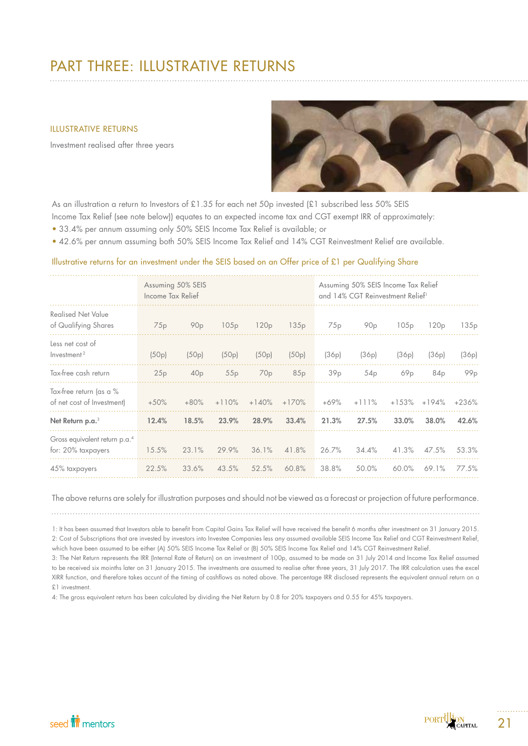# PART THREE: ILLUSTRATIVE RETURNS

## ILLUSTRATIVE RETURNS

Investment realised after three years



As an illustration a return to Investors of £1.35 for each net 50p invested (£1 subscribed less 50% SEIS

Income Tax Relief (see note below)) equates to an expected income tax and CGT exempt IRR of approximately:

- 33.4% per annum assuming only 50% SEIS Income Tax Relief is available; or
- 42.6% per annum assuming both 50% SEIS Income Tax Relief and 14% CGT Reinvestment Relief are available.

## Illustrative returns for an investment under the SEIS based on an Offer price of £1 per Qualifying Share

|                                                                 | Income Tax Relief | Assuming 50% SEIS |         |                 |         |                 | Assuming 50% SEIS Income Tax Relief<br>and 14% CGT Reinvestment Relief <sup>1</sup> |         |         |                 |
|-----------------------------------------------------------------|-------------------|-------------------|---------|-----------------|---------|-----------------|-------------------------------------------------------------------------------------|---------|---------|-----------------|
| <b>Realised Net Value</b><br>of Qualifying Shares               | 75p               | 90 <sub>p</sub>   | 105p    | 120p            | 135p    | 75p             | 90 <sub>p</sub>                                                                     | 105p    | 120p    | 135p            |
| Less net cost of<br>Investment <sup>2</sup>                     | (50p)             | (50p)             | (50p)   | (50p)           | (50p)   | (36p)           | (36p)                                                                               | (36p)   | (36p)   | (36p)           |
| Tax-free cash return                                            | 25p               | 40 <sub>p</sub>   | 55p     | 70 <sub>p</sub> | 85p     | 39 <sub>p</sub> | 54 <sub>p</sub>                                                                     | 69p     | 84p     | 99 <sub>p</sub> |
| Tax-free return (as a %<br>of net cost of Investment)           | $+50%$            | $+80%$            | $+110%$ | $+140%$         | $+170%$ | $+69%$          | $+111%$                                                                             | $+153%$ | $+194%$ | $+236%$         |
| Net Return p.a. <sup>3</sup>                                    | 12.4%             | 18.5%             | 23.9%   | 28.9%           | 33.4%   | 21.3%           | 27.5%                                                                               | 33.0%   | 38.0%   | 42.6%           |
| Gross equivalent return p.a. <sup>4</sup><br>for: 20% taxpayers | 15.5%             | 23.1%             | 29.9%   | 36.1%           | 41.8%   | 26.7%           | 34.4%                                                                               | 41.3%   | 47.5%   | 53.3%           |
| 45% taxpayers                                                   | 22.5%             | 33.6%             | 43.5%   | 52.5%           | 60.8%   | 38.8%           | 50.0%                                                                               | 60.0%   | 69.1%   | 77.5%           |

The above returns are solely for illustration purposes and should not be viewed as a forecast or projection of future performance.

1: It has been assumed that Investors able to benefit from Capital Gains Tax Relief will have received the benefit 6 months after investment on 31 January 2015. 2: Cost of Subscriptions that are invested by investors into Investee Companies less any assumed available SEIS Income Tax Relief and CGT Reinvestment Relief, which have been assumed to be either (A) 50% SEIS Income Tax Relief or (B) 50% SEIS Income Tax Relief and 14% CGT Reinvestment Relief.

3: The Net Return represents the IRR (Internal Rate of Return) on an investment of 100p, assumed to be made on 31 July 2014 and Income Tax Relief assumed to be received six moinths later on 31 January 2015. The investments are assumed to realise after three years, 31 July 2017. The IRR calculation uses the excel XIRR function, and therefore takes accunt of the timing of cashflows as noted above. The percentage IRR disclosed represents the equivalent annual return on a £1 investment.

4: The gross equivalent return has been calculated by dividing the Net Return by 0.8 for 20% taxpayers and 0.55 for 45% taxpayers.

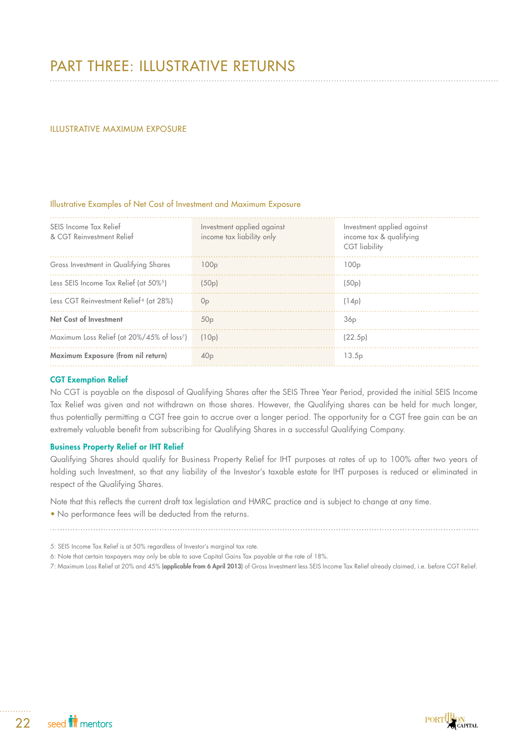# PART THREE: ILLUSTRATIVE RETURNS

## ILLUSTRATIVE MAXIMUM EXPOSURE

## Illustrative Examples of Net Cost of Investment and Maximum Exposure

| SEIS Income Tax Relief<br>& CGT Reinvestment Relief    | Investment applied against<br>income tax liability only | Investment applied against<br>income tax & qualifying<br><b>CGT</b> liability |
|--------------------------------------------------------|---------------------------------------------------------|-------------------------------------------------------------------------------|
| Gross Investment in Qualifying Shares                  | 100 <sub>p</sub>                                        | 100 <sub>p</sub>                                                              |
| Less SEIS Income Tax Relief (at 50% <sup>5</sup> )     | (50p)                                                   | (50p)                                                                         |
| Less CGT Reinvestment Relief <sup>6</sup> (at 28%)     | 0 <sub>p</sub>                                          | (14p)                                                                         |
| <b>Net Cost of Investment</b>                          | 50 <sub>p</sub>                                         | 36 <sub>p</sub>                                                               |
| Maximum Loss Relief (at 20%/45% of loss <sup>7</sup> ) | (10p)                                                   | (22.5p)                                                                       |
| Maximum Exposure (from nil return)                     | 40 <sub>p</sub>                                         | 13.5 <sub>p</sub>                                                             |

## CGT Exemption Relief

No CGT is payable on the disposal of Qualifying Shares after the SEIS Three Year Period, provided the initial SEIS Income Tax Relief was given and not withdrawn on those shares. However, the Qualifying shares can be held for much longer, thus potentially permitting a CGT free gain to accrue over a longer period. The opportunity for a CGT free gain can be an extremely valuable benefit from subscribing for Qualifying Shares in a successful Qualifying Company.

## Business Property Relief or IHT Relief

Qualifying Shares should qualify for Business Property Relief for IHT purposes at rates of up to 100% after two years of holding such Investment, so that any liability of the Investor's taxable estate for IHT purposes is reduced or eliminated in respect of the Qualifying Shares.

Note that this reflects the current draft tax legislation and HMRC practice and is subject to change at any time.

• No performance fees will be deducted from the returns.

5: SEIS Income Tax Relief is at 50% regardless of Investor's marginal tax rate.

6: Note that certain taxpayers may only be able to save Capital Gains Tax payable at the rate of 18%.

7: Maximum Loss Relief at 20% and 45% (applicable from 6 April 2013) of Gross Investment less SEIS Income Tax Relief already claimed, i.e. before CGT Relief.

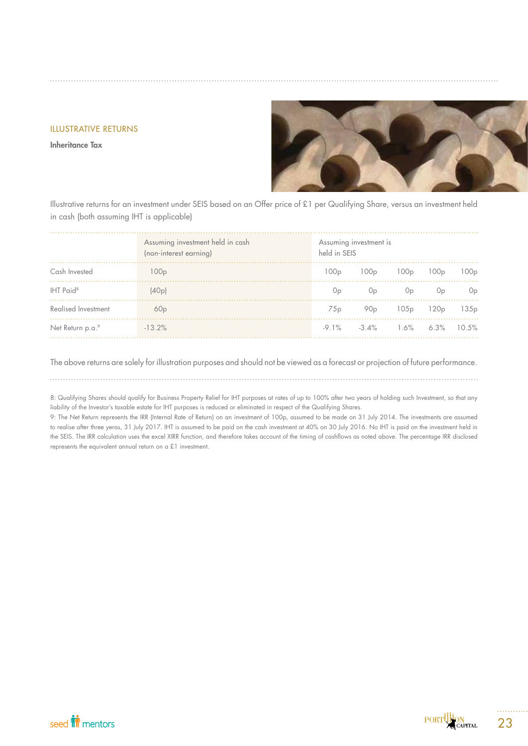## ILLUSTRATIVE RETURNS

Inheritance Tax



Illustrative returns for an investment under SEIS based on an Offer price of £1 per Qualifying Share, versus an investment held in cash (both assuming IHT is applicable)

|                       | Assuming investment held in cash<br>(non-interest earning) | Assuming investment is<br>held in SEIS |                                            |                                                   |                  |                  |
|-----------------------|------------------------------------------------------------|----------------------------------------|--------------------------------------------|---------------------------------------------------|------------------|------------------|
| Cash Invested         | 100 <sub>p</sub>                                           |                                        | $100p$ $100p$                              | 100p                                              | 100 <sub>p</sub> | 100p             |
| IHT Paid <sup>8</sup> | (40p)                                                      | 0p                                     | Op                                         | Op                                                | 0 <sub>p</sub>   | 0p               |
| Realised Investment   | 60p                                                        | 75p                                    |                                            | 90 <sub>p</sub> 105 <sub>p</sub> 120 <sub>p</sub> |                  | 135 <sub>p</sub> |
| Net Return p.a.9      | $-13.2\%$                                                  |                                        | $-9.1\%$ $-3.4\%$ $1.6\%$ $6.3\%$ $10.5\%$ |                                                   |                  |                  |

The above returns are solely for illustration purposes and should not be viewed as a forecast or projection of future performance.

8: Qualifying Shares should qualify for Business Property Relief for IHT purposes at rates of up to 100% after two years of holding such Investment, so that any liability of the Investor's taxable estate for IHT purposes is reduced or eliminated in respect of the Qualifying Shares.

9: The Net Return represents the IRR (Internal Rate of Return) on an investment of 100p, assumed to be made on 31 July 2014. The investments are assumed to realise after three yeras, 31 July 2017. IHT is assumed to be paid on the cash investment at 40% on 30 July 2016. No IHT is paid on the investment held in the SEIS. The IRR calculation uses the excel XIRR function, and therefore takes account of the timing of cashflows as noted above. The percentage IRR disclosed represents the equivalent annual return on a £1 investment.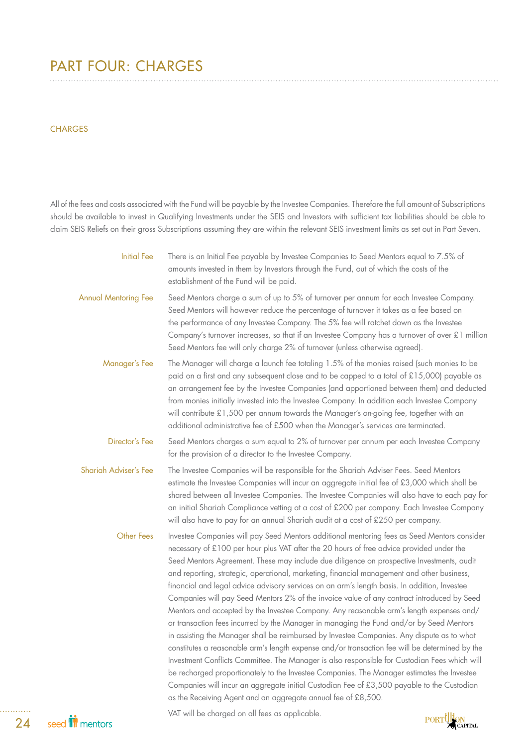# PART FOUR: CHARGES

## **CHARGES**

All of the fees and costs associated with the Fund will be payable by the Investee Companies. Therefore the full amount of Subscriptions should be available to invest in Qualifying Investments under the SEIS and Investors with sufficient tax liabilities should be able to claim SEIS Reliefs on their gross Subscriptions assuming they are within the relevant SEIS investment limits as set out in Part Seven.

| <b>Initial Fee</b>           | There is an Initial Fee payable by Investee Companies to Seed Mentors equal to 7.5% of<br>amounts invested in them by Investors through the Fund, out of which the costs of the<br>establishment of the Fund will be paid.                                                                                                                                                                                                                                                                                                                                                                                                                                                                                                                                                                                                                                                                                                                                                                                                                                                                                                                                                                                                                                                                                                                                                             |        |
|------------------------------|----------------------------------------------------------------------------------------------------------------------------------------------------------------------------------------------------------------------------------------------------------------------------------------------------------------------------------------------------------------------------------------------------------------------------------------------------------------------------------------------------------------------------------------------------------------------------------------------------------------------------------------------------------------------------------------------------------------------------------------------------------------------------------------------------------------------------------------------------------------------------------------------------------------------------------------------------------------------------------------------------------------------------------------------------------------------------------------------------------------------------------------------------------------------------------------------------------------------------------------------------------------------------------------------------------------------------------------------------------------------------------------|--------|
| <b>Annual Mentoring Fee</b>  | Seed Mentors charge a sum of up to 5% of turnover per annum for each Investee Company.<br>Seed Mentors will however reduce the percentage of turnover it takes as a fee based on<br>the performance of any Investee Company. The 5% fee will ratchet down as the Investee<br>Company's turnover increases, so that if an Investee Company has a turnover of over £1 million<br>Seed Mentors fee will only charge 2% of turnover (unless otherwise agreed).                                                                                                                                                                                                                                                                                                                                                                                                                                                                                                                                                                                                                                                                                                                                                                                                                                                                                                                             |        |
| Manager's Fee                | The Manager will charge a launch fee totaling 1.5% of the monies raised (such monies to be<br>paid on a first and any subsequent close and to be capped to a total of £15,000) payable as<br>an arrangement fee by the Investee Companies (and apportioned between them) and deducted<br>from monies initially invested into the Investee Company. In addition each Investee Company<br>will contribute £1,500 per annum towards the Manager's on-going fee, together with an<br>additional administrative fee of £500 when the Manager's services are terminated.                                                                                                                                                                                                                                                                                                                                                                                                                                                                                                                                                                                                                                                                                                                                                                                                                     |        |
| Director's Fee               | Seed Mentors charges a sum equal to 2% of turnover per annum per each Investee Company<br>for the provision of a director to the Investee Company.                                                                                                                                                                                                                                                                                                                                                                                                                                                                                                                                                                                                                                                                                                                                                                                                                                                                                                                                                                                                                                                                                                                                                                                                                                     |        |
| <b>Shariah Adviser's Fee</b> | The Investee Companies will be responsible for the Shariah Adviser Fees. Seed Mentors<br>estimate the Investee Companies will incur an aggregate initial fee of £3,000 which shall be<br>shared between all Investee Companies. The Investee Companies will also have to each pay for<br>an initial Shariah Compliance vetting at a cost of £200 per company. Each Investee Company<br>will also have to pay for an annual Shariah audit at a cost of £250 per company.                                                                                                                                                                                                                                                                                                                                                                                                                                                                                                                                                                                                                                                                                                                                                                                                                                                                                                                |        |
| <b>Other Fees</b>            | Investee Companies will pay Seed Mentors additional mentoring fees as Seed Mentors consider<br>necessary of £100 per hour plus VAT after the 20 hours of free advice provided under the<br>Seed Mentors Agreement. These may include due diligence on prospective Investments, audit<br>and reporting, strategic, operational, marketing, financial management and other business,<br>financial and legal advice advisory services on an arm's length basis. In addition, Investee<br>Companies will pay Seed Mentors 2% of the invoice value of any contract introduced by Seed<br>Mentors and accepted by the Investee Company. Any reasonable arm's length expenses and/<br>or transaction fees incurred by the Manager in managing the Fund and/or by Seed Mentors<br>in assisting the Manager shall be reimbursed by Investee Companies. Any dispute as to what<br>constitutes a reasonable arm's length expense and/or transaction fee will be determined by the<br>Investment Conflicts Committee. The Manager is also responsible for Custodian Fees which will<br>be recharged proportionately to the Investee Companies. The Manager estimates the Investee<br>Companies will incur an aggregate initial Custodian Fee of £3,500 payable to the Custodian<br>as the Receiving Agent and an aggregate annual fee of £8,500.<br>VAT will be charged on all fees as applicable. | مثللات |
|                              |                                                                                                                                                                                                                                                                                                                                                                                                                                                                                                                                                                                                                                                                                                                                                                                                                                                                                                                                                                                                                                                                                                                                                                                                                                                                                                                                                                                        |        |

PORTUGION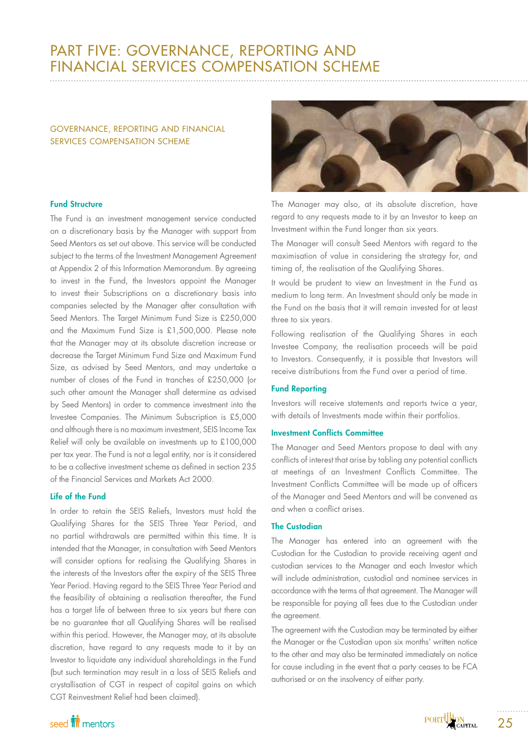# PART FIVE: GOVERNANCE, REPORTING AND FINANCIAL SERVICES COMPENSATION SCHEME

# GOVERNANCE, REPORTING AND FINANCIAL SERVICES COMPENSATION SCHEME

## Fund Structure

The Fund is an investment management service conducted on a discretionary basis by the Manager with support from Seed Mentors as set out above. This service will be conducted subject to the terms of the Investment Management Agreement at Appendix 2 of this Information Memorandum. By agreeing to invest in the Fund, the Investors appoint the Manager to invest their Subscriptions on a discretionary basis into companies selected by the Manager after consultation with Seed Mentors. The Target Minimum Fund Size is £250,000 and the Maximum Fund Size is £1,500,000. Please note that the Manager may at its absolute discretion increase or decrease the Target Minimum Fund Size and Maximum Fund Size, as advised by Seed Mentors, and may undertake a number of closes of the Fund in tranches of £250,000 (or such other amount the Manager shall determine as advised by Seed Mentors) in order to commence investment into the Investee Companies. The Minimum Subscription is £5,000 and although there is no maximum investment, SEIS Income Tax Relief will only be available on investments up to £100,000 per tax year. The Fund is not a legal entity, nor is it considered to be a collective investment scheme as defined in section 235 of the Financial Services and Markets Act 2000.

## Life of the Fund

In order to retain the SEIS Reliefs, Investors must hold the Qualifying Shares for the SEIS Three Year Period, and no partial withdrawals are permitted within this time. It is intended that the Manager, in consultation with Seed Mentors will consider options for realising the Qualifying Shares in the interests of the Investors after the expiry of the SEIS Three Year Period. Having regard to the SEIS Three Year Period and the feasibility of obtaining a realisation thereafter, the Fund has a target life of between three to six years but there can be no guarantee that all Qualifying Shares will be realised within this period. However, the Manager may, at its absolute discretion, have regard to any requests made to it by an Investor to liquidate any individual shareholdings in the Fund (but such termination may result in a loss of SEIS Reliefs and crystallisation of CGT in respect of capital gains on which CGT Reinvestment Relief had been claimed).



The Manager may also, at its absolute discretion, have regard to any requests made to it by an Investor to keep an Investment within the Fund longer than six years.

The Manager will consult Seed Mentors with regard to the maximisation of value in considering the strategy for, and timing of, the realisation of the Qualifying Shares.

It would be prudent to view an Investment in the Fund as medium to long term. An Investment should only be made in the Fund on the basis that it will remain invested for at least three to six years.

Following realisation of the Qualifying Shares in each Investee Company, the realisation proceeds will be paid to Investors. Consequently, it is possible that Investors will receive distributions from the Fund over a period of time.

## Fund Reporting

Investors will receive statements and reports twice a year, with details of Investments made within their portfolios.

## Investment Conflicts Committee

The Manager and Seed Mentors propose to deal with any conflicts of interest that arise by tabling any potential conflicts at meetings of an Investment Conflicts Committee. The Investment Conflicts Committee will be made up of officers of the Manager and Seed Mentors and will be convened as and when a conflict arises.

## The Custodian

The Manager has entered into an agreement with the Custodian for the Custodian to provide receiving agent and custodian services to the Manager and each Investor which will include administration, custodial and nominee services in accordance with the terms of that agreement. The Manager will be responsible for paying all fees due to the Custodian under the agreement.

The agreement with the Custodian may be terminated by either the Manager or the Custodian upon six months' written notice to the other and may also be terminated immediately on notice for cause including in the event that a party ceases to be FCA authorised or on the insolvency of either party.

# seed **in** mentors

25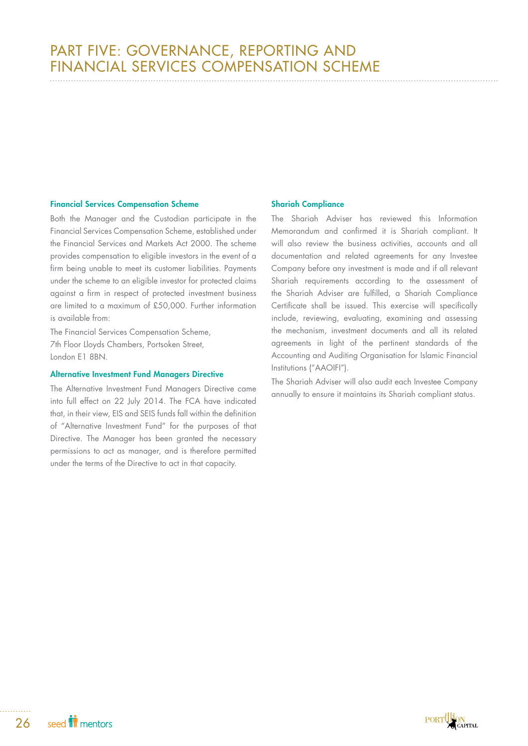## Financial Services Compensation Scheme

Both the Manager and the Custodian participate in the Financial Services Compensation Scheme, established under the Financial Services and Markets Act 2000. The scheme provides compensation to eligible investors in the event of a firm being unable to meet its customer liabilities. Payments under the scheme to an eligible investor for protected claims against a firm in respect of protected investment business are limited to a maximum of £50,000. Further information is available from:

The Financial Services Compensation Scheme, 7th Floor Lloyds Chambers, Portsoken Street, London E1 8BN.

## Alternative Investment Fund Managers Directive

The Alternative Investment Fund Managers Directive came into full effect on 22 July 2014. The FCA have indicated that, in their view, EIS and SEIS funds fall within the definition of "Alternative Investment Fund" for the purposes of that Directive. The Manager has been granted the necessary permissions to act as manager, and is therefore permitted under the terms of the Directive to act in that capacity.

## Shariah Compliance

The Shariah Adviser has reviewed this Information Memorandum and confirmed it is Shariah compliant. It will also review the business activities, accounts and all documentation and related agreements for any Investee Company before any investment is made and if all relevant Shariah requirements according to the assessment of the Shariah Adviser are fulfilled, a Shariah Compliance Certificate shall be issued. This exercise will specifically include, reviewing, evaluating, examining and assessing the mechanism, investment documents and all its related agreements in light of the pertinent standards of the Accounting and Auditing Organisation for Islamic Financial Institutions ("AAOIFI").

The Shariah Adviser will also audit each Investee Company annually to ensure it maintains its Shariah compliant status.

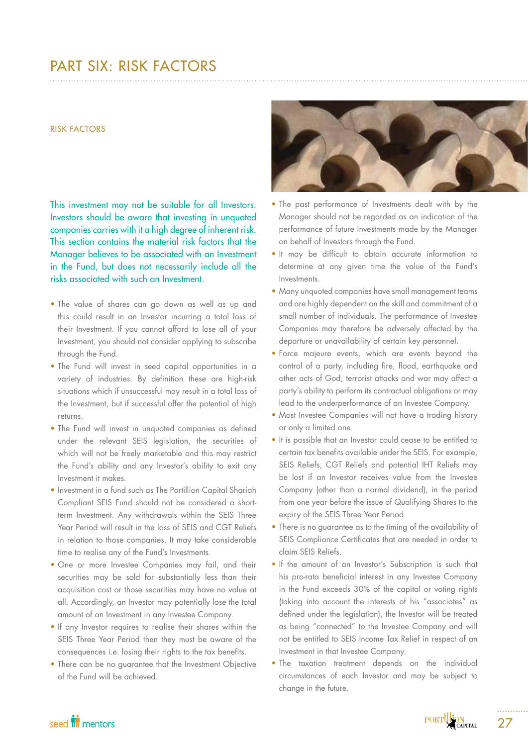# PART SIX: RISK FACTORS

### RISK FACTORS

This investment may not be suitable for all Investors. Investors should be aware that investing in unquoted companies carries with it a high degree of inherent risk. This section contains the material risk factors that the Manager believes to be associated with an Investment in the Fund, but does not necessarily include all the risks associated with such an Investment.

- The value of shares can go down as well as up and this could result in an Investor incurring a total loss of their Investment. If you cannot afford to lose all of your Investment, you should not consider applying to subscribe through the Fund.
- The Fund will invest in seed capital opportunities in a variety of industries. By definition these are high-risk situations which if unsuccessful may result in a total loss of the Investment, but if successful offer the potential of high returns.
- The Fund will invest in unquoted companies as defined under the relevant SEIS legislation, the securities of which will not be freely marketable and this may restrict the Fund's ability and any Investor's ability to exit any Investment it makes.
- Investment in a fund such as The Portillion Capital Shariah Compliant SEIS Fund should not be considered a shortterm Investment. Any withdrawals within the SEIS Three Year Period will result in the loss of SEIS and CGT Reliefs in relation to those companies. It may take considerable time to realise any of the Fund's Investments.
- One or more Investee Companies may fail, and their securities may be sold for substantially less than their acquisition cost or those securities may have no value at all. Accordingly, an Investor may potentially lose the total amount of an Investment in any Investee Company.
- If any Investor requires to realise their shares within the SEIS Three Year Period then they must be aware of the consequences i.e. losing their rights to the tax benefits.
- There can be no guarantee that the Investment Objective of the Fund will be achieved.



- The past performance of Investments dealt with by the Manager should not be regarded as an indication of the performance of future Investments made by the Manager on behalf of Investors through the Fund.
- It may be difficult to obtain accurate information to determine at any given time the value of the Fund's Investments.
- Many unquoted companies have small management teams and are highly dependent on the skill and commitment of a small number of individuals. The performance of Investee Companies may therefore be adversely affected by the departure or unavailability of certain key personnel.
- Force majeure events, which are events beyond the control of a party, including fire, flood, earthquake and other acts of God, terrorist attacks and war may affect a party's ability to perform its contractual obligations or may lead to the underperformance of an Investee Company.
- Most Investee Companies will not have a trading history or only a limited one.
- It is possible that an Investor could cease to be entitled to certain tax benefits available under the SEIS. For example, SEIS Reliefs, CGT Reliefs and potential IHT Reliefs may be lost if an Investor receives value from the Investee Company (other than a normal dividend), in the period from one year before the issue of Qualifying Shares to the expiry of the SEIS Three Year Period.
- There is no guarantee as to the timing of the availability of SEIS Compliance Certificates that are needed in order to claim SEIS Reliefs.
- If the amount of an Investor's Subscription is such that his pro-rata beneficial interest in any Investee Company in the Fund exceeds 30% of the capital or voting rights (taking into account the interests of his "associates" as defined under the legislation), the Investor will be treated as being "connected" to the Investee Company and will not be entitled to SEIS Income Tax Relief in respect of an Investment in that Investee Company.
- The taxation treatment depends on the individual circumstances of each Investor and may be subject to change in the future.



27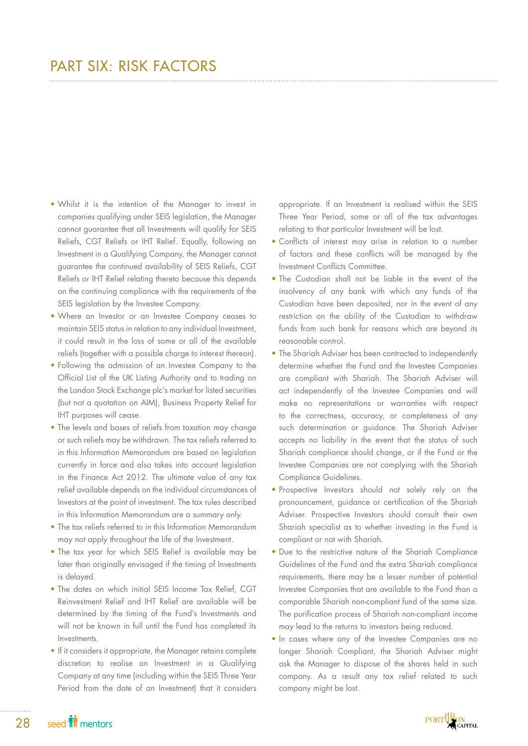# PART SIX: RISK FACTORS

- Whilst it is the intention of the Manager to invest in companies qualifying under SEIS legislation, the Manager cannot guarantee that all Investments will qualify for SEIS Reliefs, CGT Reliefs or IHT Relief. Equally, following an Investment in a Qualifying Company, the Manager cannot guarantee the continued availability of SEIS Reliefs, CGT Reliefs or IHT Relief relating thereto because this depends on the continuing compliance with the requirements of the SEIS legislation by the Investee Company.
- Where an Investor or an Investee Company ceases to maintain SEIS status in relation to any individual Investment, it could result in the loss of some or all of the available reliefs (together with a possible charge to interest thereon).
- Following the admission of an Investee Company to the Official List of the UK Listing Authority and to trading on the London Stock Exchange plc's market for listed securities (but not a quotation on AIM), Business Property Relief for IHT purposes will cease.
- The levels and bases of reliefs from taxation may change or such reliefs may be withdrawn. The tax reliefs referred to in this Information Memorandum are based on legislation currently in force and also takes into account legislation in the Finance Act 2012. The ultimate value of any tax relief available depends on the individual circumstances of Investors at the point of investment. The tax rules described in this Information Memorandum are a summary only.
- The tax reliefs referred to in this Information Memorandum may not apply throughout the life of the Investment.
- The tax year for which SEIS Relief is available may be later than originally envisaged if the timing of Investments is delayed.
- The dates on which initial SEIS Income Tax Relief, CGT Reinvestment Relief and IHT Relief are available will be determined by the timing of the Fund's Investments and will not be known in full until the Fund has completed its Investments.
- If it considers it appropriate, the Manager retains complete discretion to realise an Investment in a Qualifying Company at any time (including within the SEIS Three Year Period from the date of an Investment) that it considers

appropriate. If an Investment is realised within the SEIS Three Year Period, some or all of the tax advantages relating to that particular Investment will be lost.

- Conflicts of interest may arise in relation to a number of factors and these conflicts will be managed by the Investment Conflicts Committee.
- The Custodian shall not be liable in the event of the insolvency of any bank with which any funds of the Custodian have been deposited, nor in the event of any restriction on the ability of the Custodian to withdraw funds from such bank for reasons which are beyond its reasonable control.
- The Shariah Adviser has been contracted to independently determine whether the Fund and the Investee Companies are compliant with Shariah. The Shariah Adviser will act independently of the Investee Companies and will make no representations or warranties with respect to the correctness, accuracy, or completeness of any such determination or guidance. The Shariah Adviser accepts no liability in the event that the status of such Shariah compliance should change, or if the Fund or the Investee Companies are not complying with the Shariah Compliance Guidelines.
- Prospective Investors should not solely rely on the pronouncement, guidance or certification of the Shariah Adviser. Prospective Investors should consult their own Shariah specialist as to whether investing in the Fund is compliant or not with Shariah.
- Due to the restrictive nature of the Shariah Compliance Guidelines of the Fund and the extra Shariah compliance requirements, there may be a lesser number of potential Investee Companies that are available to the Fund than a comparable Shariah non-compliant fund of the same size. The purification process of Shariah non-compliant income may lead to the returns to investors being reduced.
- In cases where any of the Investee Companies are no longer Shariah Compliant, the Shariah Adviser might ask the Manager to dispose of the shares held in such company. As a result any tax relief related to such company might be lost.

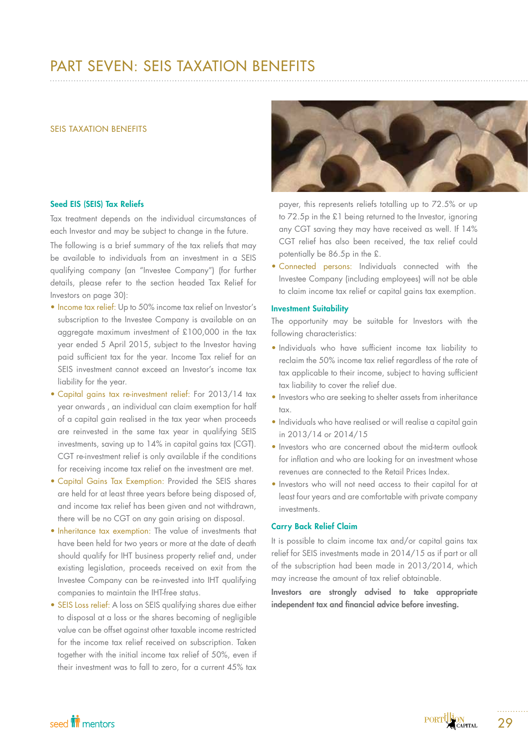# PART SEVEN: SEIS TAXATION BENEFITS

### SEIS TAXATION BENEFITS

## Seed EIS (SEIS) Tax Reliefs

Tax treatment depends on the individual circumstances of each Investor and may be subject to change in the future.

The following is a brief summary of the tax reliefs that may be available to individuals from an investment in a SEIS qualifying company (an "Investee Company") (for further details, please refer to the section headed Tax Relief for Investors on page 30):

- Income tax relief: Up to 50% income tax relief on Investor's subscription to the Investee Company is available on an aggregate maximum investment of £100,000 in the tax year ended 5 April 2015, subject to the Investor having paid sufficient tax for the year. Income Tax relief for an SEIS investment cannot exceed an Investor's income tax liability for the year.
- Capital gains tax re-investment relief: For 2013/14 tax year onwards , an individual can claim exemption for half of a capital gain realised in the tax year when proceeds are reinvested in the same tax year in qualifying SEIS investments, saving up to 14% in capital gains tax (CGT). CGT re-investment relief is only available if the conditions for receiving income tax relief on the investment are met.
- Capital Gains Tax Exemption: Provided the SEIS shares are held for at least three years before being disposed of, and income tax relief has been given and not withdrawn, there will be no CGT on any gain arising on disposal.
- Inheritance tax exemption: The value of investments that have been held for two years or more at the date of death should qualify for IHT business property relief and, under existing legislation, proceeds received on exit from the Investee Company can be re-invested into IHT qualifying companies to maintain the IHT-free status.
- SEIS Loss relief: A loss on SEIS qualifying shares due either to disposal at a loss or the shares becoming of negligible value can be offset against other taxable income restricted for the income tax relief received on subscription. Taken together with the initial income tax relief of 50%, even if their investment was to fall to zero, for a current 45% tax



payer, this represents reliefs totalling up to 72.5% or up to 72.5p in the £1 being returned to the Investor, ignoring any CGT saving they may have received as well. If 14% CGT relief has also been received, the tax relief could potentially be 86.5p in the £.

• Connected persons: Individuals connected with the Investee Company (including employees) will not be able to claim income tax relief or capital gains tax exemption.

## Investment Suitability

The opportunity may be suitable for Investors with the following characteristics:

- Individuals who have sufficient income tax liability to reclaim the 50% income tax relief regardless of the rate of tax applicable to their income, subject to having sufficient tax liability to cover the relief due.
- Investors who are seeking to shelter assets from inheritance tax.
- Individuals who have realised or will realise a capital gain in 2013/14 or 2014/15
- Investors who are concerned about the mid-term outlook for inflation and who are looking for an investment whose revenues are connected to the Retail Prices Index.
- Investors who will not need access to their capital for at least four years and are comfortable with private company investments.

## Carry Back Relief Claim

It is possible to claim income tax and/or capital gains tax relief for SEIS investments made in 2014/15 as if part or all of the subscription had been made in 2013/2014, which may increase the amount of tax relief obtainable.

Investors are strongly advised to take appropriate independent tax and financial advice before investing.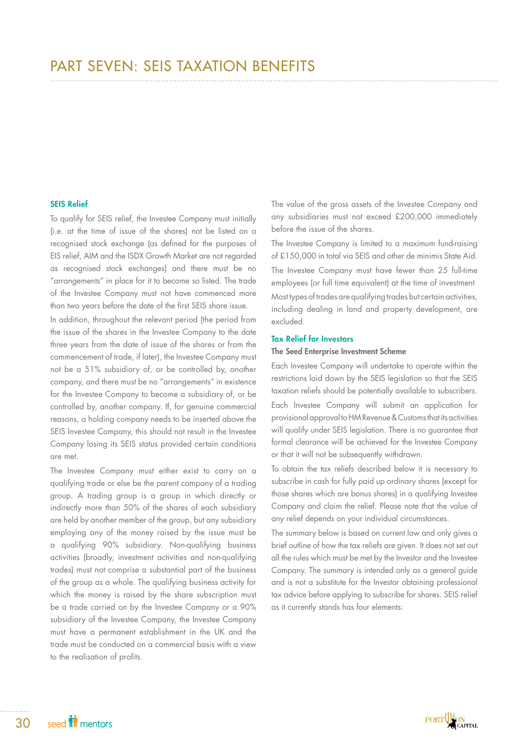## SEIS Relief

To qualify for SEIS relief, the Investee Company must initially (i.e. at the time of issue of the shares) not be listed on a recognised stock exchange (as defined for the purposes of EIS relief, AIM and the ISDX Growth Market are not regarded as recognised stock exchanges) and there must be no "arrangements" in place for it to become so listed. The trade of the Investee Company must not have commenced more than two years before the date of the first SEIS share issue.

In addition, throughout the relevant period (the period from the issue of the shares in the Investee Company to the date three years from the date of issue of the shares or from the commencement of trade, if later), the Investee Company must not be a 51% subsidiary of, or be controlled by, another company, and there must be no "arrangements" in existence for the Investee Company to become a subsidiary of, or be controlled by, another company. If, for genuine commercial reasons, a holding company needs to be inserted above the SEIS Investee Company, this should not result in the Investee Company losing its SEIS status provided certain conditions are met.

The Investee Company must either exist to carry on a qualifying trade or else be the parent company of a trading group. A trading group is a group in which directly or indirectly more than 50% of the shares of each subsidiary are held by another member of the group, but any subsidiary employing any of the money raised by the issue must be a qualifying 90% subsidiary. Non-qualifying business activities (broadly, investment activities and non-qualifying trades) must not comprise a substantial part of the business of the group as a whole. The qualifying business activity for which the money is raised by the share subscription must be a trade carried on by the Investee Company or a 90% subsidiary of the Investee Company, the Investee Company must have a permanent establishment in the UK and the trade must be conducted on a commercial basis with a view to the realisation of profits.

The value of the gross assets of the Investee Company and any subsidiaries must not exceed £200,000 immediately before the issue of the shares.

The Investee Company is limited to a maximum fund-raising of £150,000 in total via SEIS and other de minimis State Aid. The Investee Company must have fewer than 25 full-time employees (or full time equivalent) at the time of investment Most types of trades are qualifying trades but certain activities, including dealing in land and property development, are excluded.

### Tax Relief for Investors

## The Seed Enterprise Investment Scheme

Each Investee Company will undertake to operate within the restrictions laid down by the SEIS legislation so that the SEIS taxation reliefs should be potentially available to subscribers.

Each Investee Company will submit an application for provisional approval to HM Revenue & Customs that its activities will qualify under SEIS legislation. There is no guarantee that formal clearance will be achieved for the Investee Company or that it will not be subsequently withdrawn.

To obtain the tax reliefs described below it is necessary to subscribe in cash for fully paid up ordinary shares (except for those shares which are bonus shares) in a qualifying Investee Company and claim the relief. Please note that the value of any relief depends on your individual circumstances.

The summary below is based on current law and only gives a brief outline of how the tax reliefs are given. It does not set out all the rules which must be met by the Investor and the Investee Company. The summary is intended only as a general guide and is not a substitute for the Investor obtaining professional tax advice before applying to subscribe for shares. SEIS relief as it currently stands has four elements:

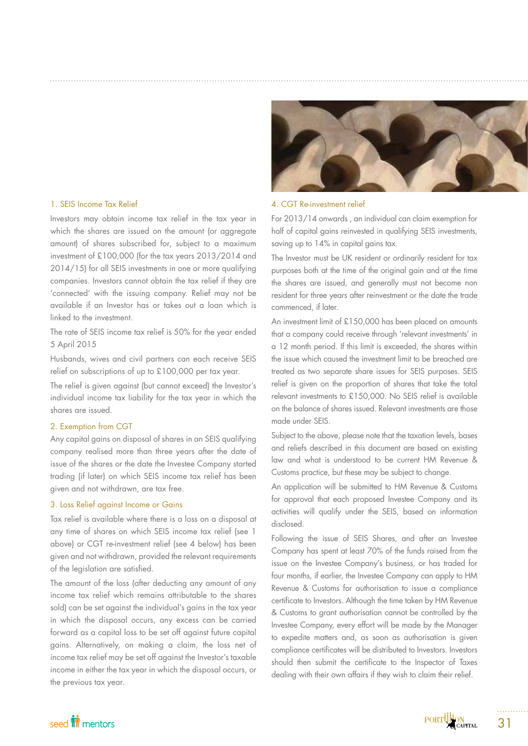## 1. SEIS Income Tax Relief

Investors may obtain income tax relief in the tax year in which the shares are issued on the amount (or aggregate amount) of shares subscribed for, subject to a maximum investment of £100,000 (for the tax years 2013/2014 and 2014/15) for all SEIS investments in one or more qualifying companies. Investors cannot obtain the tax relief if they are 'connected' with the issuing company. Relief may not be available if an Investor has or takes out a loan which is linked to the investment.

The rate of SEIS income tax relief is 50% for the year ended 5 April 2015

Husbands, wives and civil partners can each receive SEIS relief on subscriptions of up to £100,000 per tax year.

The relief is given against (but cannot exceed) the Investor's individual income tax liability for the tax year in which the shares are issued.

## 2. Exemption from CGT

Any capital gains on disposal of shares in an SEIS qualifying company realised more than three years after the date of issue of the shares or the date the Investee Company started trading (if later) on which SEIS income tax relief has been given and not withdrawn, are tax free.

## 3. Loss Relief against Income or Gains

Tax relief is available where there is a loss on a disposal at any time of shares on which SEIS income tax relief (see 1 above) or CGT re-investment relief (see 4 below) has been given and not withdrawn, provided the relevant requirements of the legislation are satisfied.

The amount of the loss (after deducting any amount of any income tax relief which remains attributable to the shares sold) can be set against the individual's gains in the tax year in which the disposal occurs, any excess can be carried forward as a capital loss to be set off against future capital gains. Alternatively, on making a claim, the loss net of income tax relief may be set off against the Investor's taxable income in either the tax year in which the disposal occurs, or the previous tax year.



### 4. CGT Re-investment relief

For 2013/14 onwards , an individual can claim exemption for half of capital gains reinvested in qualifying SEIS investments, saving up to 14% in capital gains tax.

The Investor must be UK resident or ordinarily resident for tax purposes both at the time of the original gain and at the time the shares are issued, and generally must not become non resident for three years after reinvestment or the date the trade commenced, if later.

An investment limit of £150,000 has been placed on amounts that a company could receive through 'relevant investments' in a 12 month period. If this limit is exceeded, the shares within the issue which caused the investment limit to be breached are treated as two separate share issues for SEIS purposes. SEIS relief is given on the proportion of shares that take the total relevant investments to £150,000. No SEIS relief is available on the balance of shares issued. Relevant investments are those made under SEIS.

Subject to the above, please note that the taxation levels, bases and reliefs described in this document are based on existing law and what is understood to be current HM Revenue & Customs practice, but these may be subject to change.

An application will be submitted to HM Revenue & Customs for approval that each proposed Investee Company and its activities will qualify under the SEIS, based on information disclosed.

Following the issue of SEIS Shares, and after an Investee Company has spent at least 70% of the funds raised from the issue on the Investee Company's business, or has traded for four months, if earlier, the Investee Company can apply to HM Revenue & Customs for authorisation to issue a compliance certificate to Investors. Although the time taken by HM Revenue & Customs to grant authorisation cannot be controlled by the Investee Company, every effort will be made by the Manager to expedite matters and, as soon as authorisation is given compliance certificates will be distributed to Investors. Investors should then submit the certificate to the Inspector of Taxes dealing with their own affairs if they wish to claim their relief.

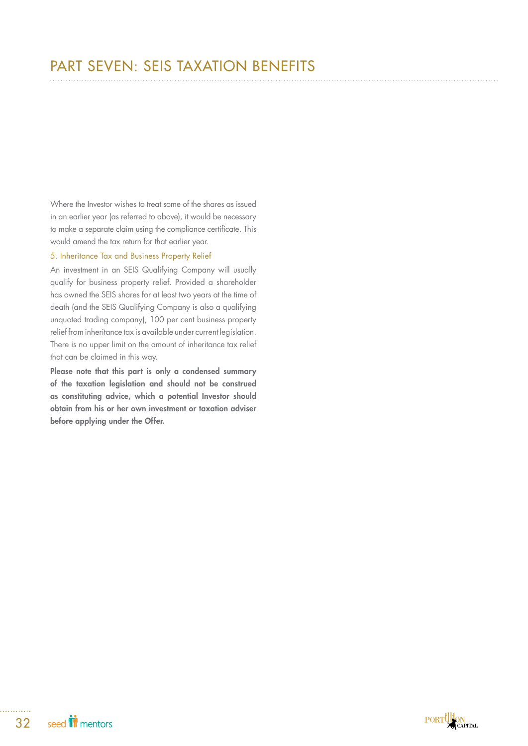# PART SEVEN: SEIS TAXATION BENEFITS

Where the Investor wishes to treat some of the shares as issued in an earlier year (as referred to above), it would be necessary to make a separate claim using the compliance certificate. This would amend the tax return for that earlier year.

## 5. Inheritance Tax and Business Property Relief

An investment in an SEIS Qualifying Company will usually qualify for business property relief. Provided a shareholder has owned the SEIS shares for at least two years at the time of death (and the SEIS Qualifying Company is also a qualifying unquoted trading company), 100 per cent business property relief from inheritance tax is available under current legislation. There is no upper limit on the amount of inheritance tax relief that can be claimed in this way.

Please note that this part is only a condensed summary of the taxation legislation and should not be construed as constituting advice, which a potential Investor should obtain from his or her own investment or taxation adviser before applying under the Offer.

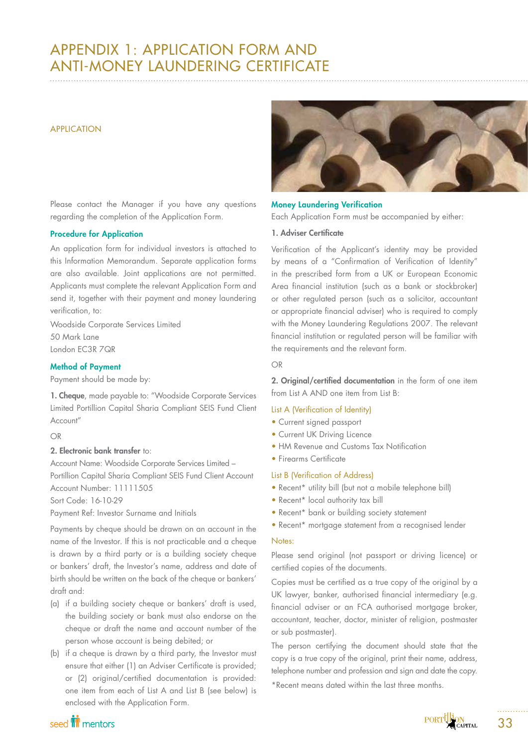# APPENDIX 1: APPLICATION FORM AND ANTI-MONEY LAUNDERING CERTIFICATE

## APPLICATION

Please contact the Manager if you have any questions regarding the completion of the Application Form.

## Procedure for Application

An application form for individual investors is attached to this Information Memorandum. Separate application forms are also available. Joint applications are not permitted. Applicants must complete the relevant Application Form and send it, together with their payment and money laundering verification, to:

Woodside Corporate Services Limited 50 Mark Lane London EC3R 7QR

## Method of Payment

Payment should be made by:

1. Cheque, made payable to: "Woodside Corporate Services Limited Portillion Capital Sharia Compliant SEIS Fund Client Account"

## OR

## 2. Electronic bank transfer to:

Account Name: Woodside Corporate Services Limited – Portillion Capital Sharia Compliant SEIS Fund Client Account Account Number: 11111505

Sort Code: 16-10-29

Payment Ref: Investor Surname and Initials

Payments by cheque should be drawn on an account in the name of the Investor. If this is not practicable and a cheque is drawn by a third party or is a building society cheque or bankers' draft, the Investor's name, address and date of birth should be written on the back of the cheque or bankers' draft and:

- (a) if a building society cheque or bankers' draft is used, the building society or bank must also endorse on the cheque or draft the name and account number of the person whose account is being debited; or
- (b) if a cheque is drawn by a third party, the Investor must ensure that either (1) an Adviser Certificate is provided; or (2) original/certified documentation is provided: one item from each of List A and List B (see below) is enclosed with the Application Form.



## Money Laundering Verification

Each Application Form must be accompanied by either:

## 1. Adviser Certificate

Verification of the Applicant's identity may be provided by means of a "Confirmation of Verification of Identity" in the prescribed form from a UK or European Economic Area financial institution (such as a bank or stockbroker) or other regulated person (such as a solicitor, accountant or appropriate financial adviser) who is required to comply with the Money Laundering Regulations 2007. The relevant financial institution or regulated person will be familiar with the requirements and the relevant form.

## OR

2. Original/certified documentation in the form of one item from List A AND one item from List B:

## List A (Verification of Identity)

- Current signed passport
- Current UK Driving Licence
- HM Revenue and Customs Tax Notification
- Firearms Certificate

## List B (Verification of Address)

- Recent\* utility bill (but not a mobile telephone bill)
- Recent\* local authority tax bill
- Recent\* bank or building society statement
- Recent\* mortgage statement from a recognised lender

## Notes:

Please send original (not passport or driving licence) or certified copies of the documents.

Copies must be certified as a true copy of the original by a UK lawyer, banker, authorised financial intermediary (e.g. financial adviser or an FCA authorised mortgage broker, accountant, teacher, doctor, minister of religion, postmaster or sub postmaster).

The person certifying the document should state that the copy is a true copy of the original, print their name, address, telephone number and profession and sign and date the copy.

\*Recent means dated within the last three months.

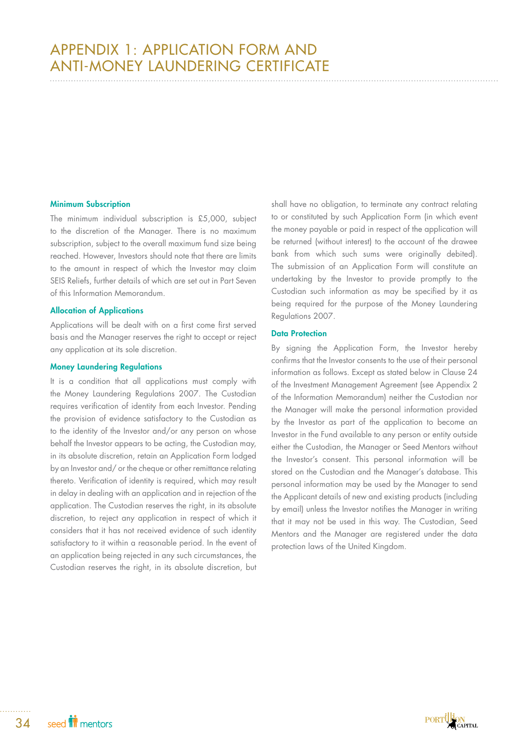## Minimum Subscription

The minimum individual subscription is £5,000, subject to the discretion of the Manager. There is no maximum subscription, subject to the overall maximum fund size being reached. However, Investors should note that there are limits to the amount in respect of which the Investor may claim SEIS Reliefs, further details of which are set out in Part Seven of this Information Memorandum.

## Allocation of Applications

Applications will be dealt with on a first come first served basis and the Manager reserves the right to accept or reject any application at its sole discretion.

## Money Laundering Regulations

It is a condition that all applications must comply with the Money Laundering Regulations 2007. The Custodian requires verification of identity from each Investor. Pending the provision of evidence satisfactory to the Custodian as to the identity of the Investor and/or any person on whose behalf the Investor appears to be acting, the Custodian may, in its absolute discretion, retain an Application Form lodged by an Investor and/ or the cheque or other remittance relating thereto. Verification of identity is required, which may result in delay in dealing with an application and in rejection of the application. The Custodian reserves the right, in its absolute discretion, to reject any application in respect of which it considers that it has not received evidence of such identity satisfactory to it within a reasonable period. In the event of an application being rejected in any such circumstances, the Custodian reserves the right, in its absolute discretion, but

shall have no obligation, to terminate any contract relating to or constituted by such Application Form (in which event the money payable or paid in respect of the application will be returned (without interest) to the account of the drawee bank from which such sums were originally debited). The submission of an Application Form will constitute an undertaking by the Investor to provide promptly to the Custodian such information as may be specified by it as being required for the purpose of the Money Laundering Regulations 2007.

## Data Protection

By signing the Application Form, the Investor hereby confirms that the Investor consents to the use of their personal information as follows. Except as stated below in Clause 24 of the Investment Management Agreement (see Appendix 2 of the Information Memorandum) neither the Custodian nor the Manager will make the personal information provided by the Investor as part of the application to become an Investor in the Fund available to any person or entity outside either the Custodian, the Manager or Seed Mentors without the Investor's consent. This personal information will be stored on the Custodian and the Manager's database. This personal information may be used by the Manager to send the Applicant details of new and existing products (including by email) unless the Investor notifies the Manager in writing that it may not be used in this way. The Custodian, Seed Mentors and the Manager are registered under the data protection laws of the United Kingdom.

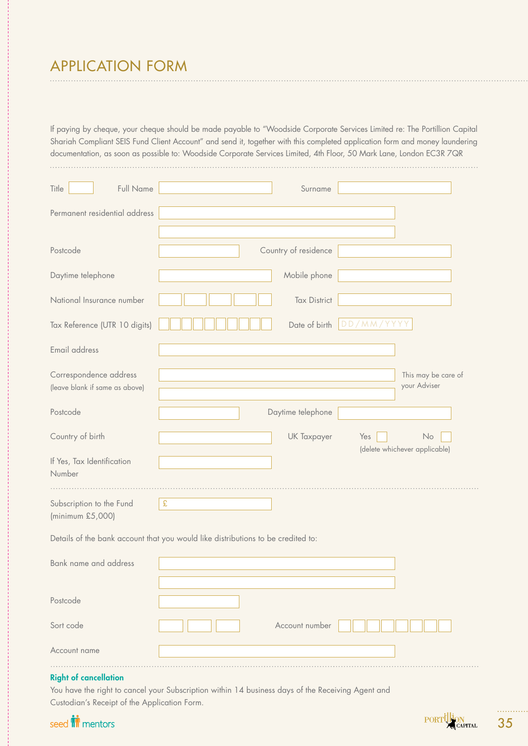# APPLICATION FORM

If paying by cheque, your cheque should be made payable to "Woodside Corporate Services Limited re: The Portillion Capital Shariah Compliant SEIS Fund Client Account" and send it, together with this completed application form and money laundering documentation, as soon as possible to: Woodside Corporate Services Limited, 4th Floor, 50 Mark Lane, London EC3R 7QR 

| Full Name<br>Title                                       | Surname                                                                          |                                     |
|----------------------------------------------------------|----------------------------------------------------------------------------------|-------------------------------------|
| Permanent residential address                            |                                                                                  |                                     |
|                                                          |                                                                                  |                                     |
| Postcode                                                 | Country of residence                                                             |                                     |
| Daytime telephone                                        | Mobile phone                                                                     |                                     |
| National Insurance number                                | <b>Tax District</b>                                                              |                                     |
| Tax Reference (UTR 10 digits)                            | Date of birth                                                                    | DD/MM/YYYY                          |
| Email address                                            |                                                                                  |                                     |
| Correspondence address<br>(leave blank if same as above) |                                                                                  | This may be care of<br>your Adviser |
| Postcode                                                 | Daytime telephone                                                                |                                     |
| Country of birth                                         | UK Taxpayer                                                                      | No<br>Yes                           |
| If Yes, Tax Identification<br>Number                     |                                                                                  | (delete whichever applicable)       |
| Subscription to the Fund<br>(minimum £5,000)             | $\pmb{\mathfrak{L}}$                                                             |                                     |
|                                                          | Details of the bank account that you would like distributions to be credited to: |                                     |
| <b>Bank name and address</b>                             |                                                                                  |                                     |
|                                                          |                                                                                  |                                     |
| Postcode                                                 |                                                                                  |                                     |
| Sort code                                                | Account number                                                                   |                                     |
| Account name                                             |                                                                                  |                                     |
|                                                          |                                                                                  |                                     |

## Right of cancellation

You have the right to cancel your Subscription within 14 business days of the Receiving Agent and Custodian's Receipt of the Application Form.

# seed **in** mentors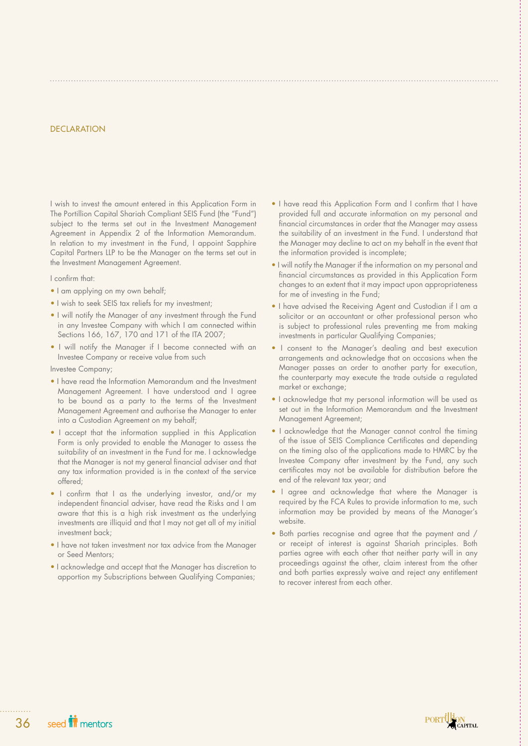## **DECLARATION**

I wish to invest the amount entered in this Application Form in The Portillion Capital Shariah Compliant SEIS Fund (the "Fund") subject to the terms set out in the Investment Management Agreement in Appendix 2 of the Information Memorandum. In relation to my investment in the Fund, I appoint Sapphire Capital Partners LLP to be the Manager on the terms set out in the Investment Management Agreement.

I confirm that:

- I am applying on my own behalf;
- I wish to seek SEIS tax reliefs for my investment;
- I will notify the Manager of any investment through the Fund in any Investee Company with which I am connected within Sections 166, 167, 170 and 171 of the ITA 2007;
- I will notify the Manager if I become connected with an Investee Company or receive value from such

Investee Company;

- I have read the Information Memorandum and the Investment Management Agreement. I have understood and I agree to be bound as a party to the terms of the Investment Management Agreement and authorise the Manager to enter into a Custodian Agreement on my behalf;
- I accept that the information supplied in this Application Form is only provided to enable the Manager to assess the suitability of an investment in the Fund for me. I acknowledge that the Manager is not my general financial adviser and that any tax information provided is in the context of the service offered;
- I confirm that I as the underlying investor, and/or my independent financial adviser, have read the Risks and I am aware that this is a high risk investment as the underlying investments are illiquid and that I may not get all of my initial investment back;
- I have not taken investment nor tax advice from the Manager or Seed Mentors;
- I acknowledge and accept that the Manager has discretion to apportion my Subscriptions between Qualifying Companies;
- I have read this Application Form and I confirm that I have provided full and accurate information on my personal and financial circumstances in order that the Manager may assess the suitability of an investment in the Fund. I understand that the Manager may decline to act on my behalf in the event that the information provided is incomplete;
- I will notify the Manager if the information on my personal and financial circumstances as provided in this Application Form changes to an extent that it may impact upon appropriateness for me of investing in the Fund;
- I have advised the Receiving Agent and Custodian if I am a solicitor or an accountant or other professional person who is subject to professional rules preventing me from making investments in particular Qualifying Companies;
- I consent to the Manager's dealing and best execution arrangements and acknowledge that on occasions when the Manager passes an order to another party for execution, the counterparty may execute the trade outside a regulated market or exchange;
- I acknowledge that my personal information will be used as set out in the Information Memorandum and the Investment Management Agreement;
- I acknowledge that the Manager cannot control the timing of the issue of SEIS Compliance Certificates and depending on the timing also of the applications made to HMRC by the Investee Company after investment by the Fund, any such certificates may not be available for distribution before the end of the relevant tax year; and
- I agree and acknowledge that where the Manager is required by the FCA Rules to provide information to me, such information may be provided by means of the Manager's website.
- Both parties recognise and agree that the payment and / or receipt of interest is against Shariah principles. Both parties agree with each other that neither party will in any proceedings against the other, claim interest from the other and both parties expressly waive and reject any entitlement to recover interest from each other.

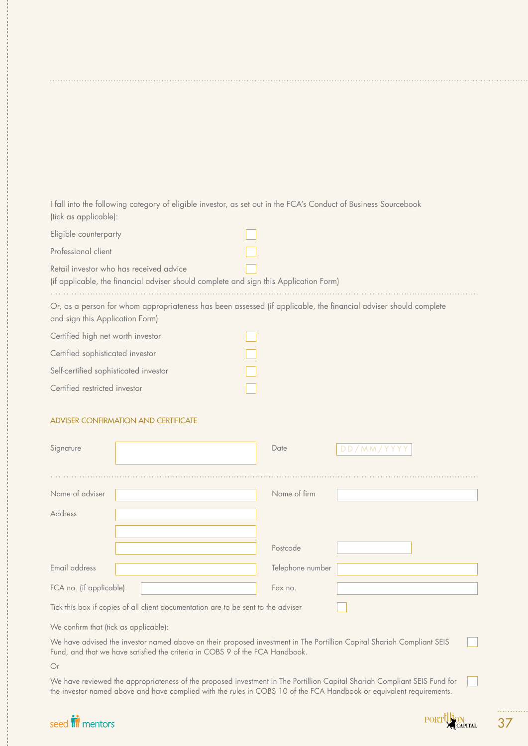I fall into the following category of eligible investor, as set out in the FCA's Conduct of Business Sourcebook (tick as applicable):

| Eligible counterparty                                                                                                            |                                                                                                                  |
|----------------------------------------------------------------------------------------------------------------------------------|------------------------------------------------------------------------------------------------------------------|
| Professional client                                                                                                              |                                                                                                                  |
| Retail investor who has received advice<br>(if applicable, the financial adviser should complete and sign this Application Form) |                                                                                                                  |
| and sign this Application Form)                                                                                                  | Or, as a person for whom appropriateness has been assessed (if applicable, the financial adviser should complete |
| Certified high net worth investor                                                                                                |                                                                                                                  |
| Certified sophisticated investor                                                                                                 |                                                                                                                  |
| Self-certified sophisticated investor                                                                                            |                                                                                                                  |
| Certified restricted investor                                                                                                    |                                                                                                                  |

# ADVISER CONFIRMATION AND CERTIFICATE

| Signature                                                                                                                                                                                                                                         |  | Date             | DD/MM/YYYY |  |  |  |
|---------------------------------------------------------------------------------------------------------------------------------------------------------------------------------------------------------------------------------------------------|--|------------------|------------|--|--|--|
| Name of adviser                                                                                                                                                                                                                                   |  | Name of firm     |            |  |  |  |
| Address                                                                                                                                                                                                                                           |  |                  |            |  |  |  |
|                                                                                                                                                                                                                                                   |  |                  |            |  |  |  |
|                                                                                                                                                                                                                                                   |  | Postcode         |            |  |  |  |
| Email address                                                                                                                                                                                                                                     |  | Telephone number |            |  |  |  |
| FCA no. (if applicable)                                                                                                                                                                                                                           |  | Fax no.          |            |  |  |  |
| Tick this box if copies of all client documentation are to be sent to the adviser                                                                                                                                                                 |  |                  |            |  |  |  |
| We confirm that (tick as applicable):                                                                                                                                                                                                             |  |                  |            |  |  |  |
| We have advised the investor named above on their proposed investment in The Portillion Capital Shariah Compliant SEIS<br>Fund, and that we have satisfied the criteria in COBS 9 of the FCA Handbook.                                            |  |                  |            |  |  |  |
| Or                                                                                                                                                                                                                                                |  |                  |            |  |  |  |
| We have reviewed the appropriateness of the proposed investment in The Portillion Capital Shariah Compliant SEIS Fund for<br>the investor named above and have complied with the rules in COBS 10 of the FCA Handbook or equivalent requirements. |  |                  |            |  |  |  |

# seed **in** mentors

| . IK 1 1 1 1 1 1 |                    |
|------------------|--------------------|
|                  |                    |
|                  | <b>ARTICAPITAL</b> |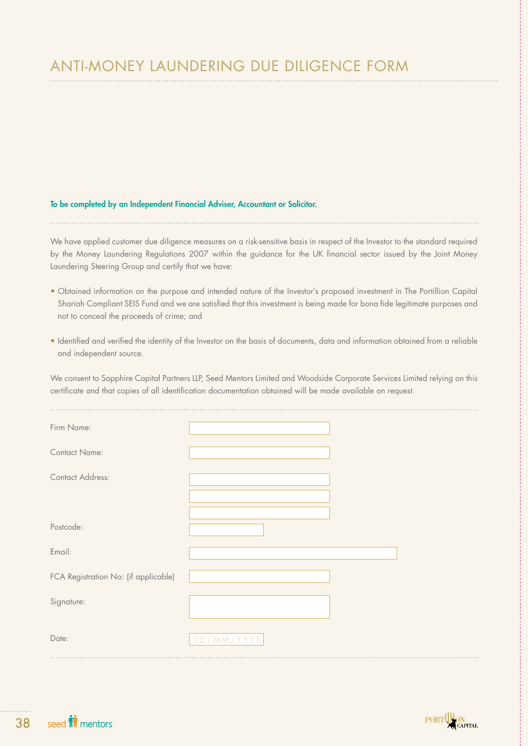# ANTI-MONEY LAUNDERING DUE DILIGENCE FORM

## To be completed by an Independent Financial Adviser, Accountant or Solicitor.

We have applied customer due diligence measures on a risk-sensitive basis in respect of the Investor to the standard required by the Money Laundering Regulations 2007 within the guidance for the UK financial sector issued by the Joint Money Laundering Steering Group and certify that we have:

- Obtained information on the purpose and intended nature of the Investor's proposed investment in The Portillion Capital Shariah Compliant SEIS Fund and we are satisfied that this investment is being made for bona fide legitimate purposes and not to conceal the proceeds of crime; and
- Identified and verified the identity of the Investor on the basis of documents, data and information obtained from a reliable and independent source.

We consent to Sapphire Capital Partners LLP, Seed Mentors Limited and Woodside Corporate Services Limited relying on this certificate and that copies of all identification documentation obtained will be made available on request.

| Firm Name:                           |            |  |
|--------------------------------------|------------|--|
| Contact Name:                        |            |  |
| <b>Contact Address:</b>              |            |  |
|                                      |            |  |
| Postcode:                            |            |  |
| Email:                               |            |  |
| FCA Registration No: (if applicable) |            |  |
| Signature:                           |            |  |
| Date:                                | DD/MM/YYYY |  |
|                                      |            |  |



. . . . . . .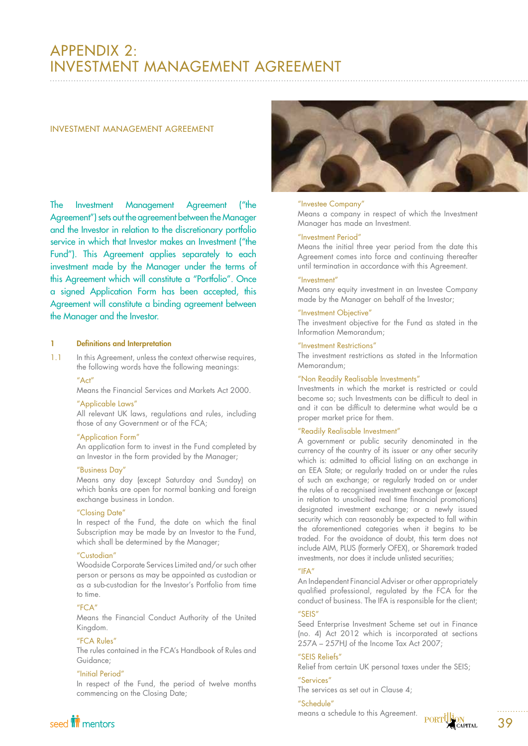# APPENDIX 2: INVESTMENT MANAGEMENT AGREEMENT

### INVESTMENT MANAGEMENT AGREEMENT

The Investment Management Agreement ("the Agreement") sets out the agreement between the Manager and the Investor in relation to the discretionary portfolio service in which that Investor makes an Investment ("the Fund"). This Agreement applies separately to each investment made by the Manager under the terms of this Agreement which will constitute a "Portfolio". Once a signed Application Form has been accepted, this Agreement will constitute a binding agreement between the Manager and the Investor.

## 1 Definitions and Interpretation

- 1.1 In this Agreement, unless the context otherwise requires, the following words have the following meanings:
	- "Act"

Means the Financial Services and Markets Act 2000.

## "Applicable Laws"

All relevant UK laws, regulations and rules, including those of any Government or of the FCA;

### "Application Form"

An application form to invest in the Fund completed by an Investor in the form provided by the Manager;

## "Business Day"

Means any day (except Saturday and Sunday) on which banks are open for normal banking and foreign exchange business in London.

### "Closing Date"

In respect of the Fund, the date on which the final Subscription may be made by an Investor to the Fund, which shall be determined by the Manager;

## "Custodian"

Woodside Corporate Services Limited and/or such other person or persons as may be appointed as custodian or as a sub-custodian for the Investor's Portfolio from time to time.

## $"FC\Delta"$

Means the Financial Conduct Authority of the United Kingdom.

## "FCA Rules"

The rules contained in the FCA's Handbook of Rules and Guidance;

## "Initial Period"

In respect of the Fund, the period of twelve months commencing on the Closing Date;



#### "Investee Company"

Means a company in respect of which the Investment Manager has made an Investment.

## "Investment Period"

Means the initial three year period from the date this Agreement comes into force and continuing thereafter until termination in accordance with this Agreement.

### "Investment"

Means any equity investment in an Investee Company made by the Manager on behalf of the Investor;

### "Investment Objective"

The investment objective for the Fund as stated in the Information Memorandum;

## "Investment Restrictions"

The investment restrictions as stated in the Information Memorandum;

## "Non Readily Realisable Investments"

Investments in which the market is restricted or could become so; such Investments can be difficult to deal in and it can be difficult to determine what would be a proper market price for them.

## "Readily Realisable Investment"

A government or public security denominated in the currency of the country of its issuer or any other security which is: admitted to official listing on an exchange in an EEA State; or regularly traded on or under the rules of such an exchange; or regularly traded on or under the rules of a recognised investment exchange or (except in relation to unsolicited real time financial promotions) designated investment exchange; or a newly issued security which can reasonably be expected to fall within the aforementioned categories when it begins to be traded. For the avoidance of doubt, this term does not include AIM, PLUS (formerly OFEX), or Sharemark traded investments, nor does it include unlisted securities;

## $^{\prime\prime}$ IFA"

An Independent Financial Adviser or other appropriately qualified professional, regulated by the FCA for the conduct of business. The IFA is responsible for the client;

## "SEIS"

Seed Enterprise Investment Scheme set out in Finance (no. 4) Act 2012 which is incorporated at sections 257A – 257HJ of the Income Tax Act 2007;

## "SEIS Reliefs"

Relief from certain UK personal taxes under the SEIS;

"Services"

The services as set out in Clause 4;

### "Schedule"

means a schedule to this Agreement.



seed **in** mentors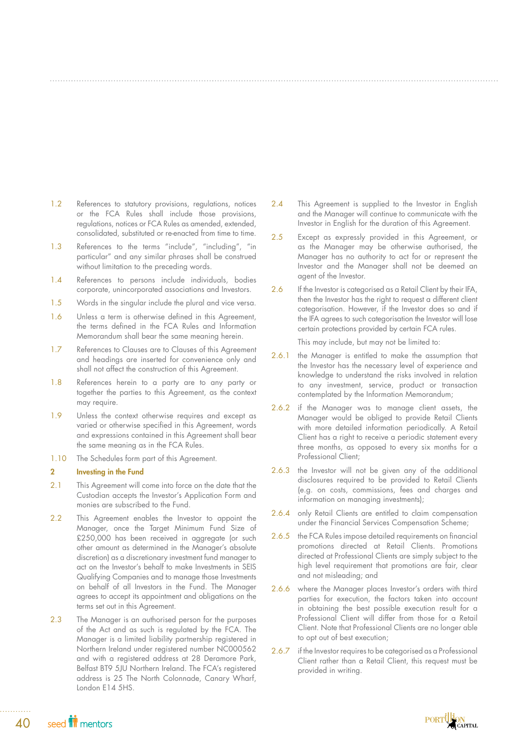- 1.2 References to statutory provisions, regulations, notices or the FCA Rules shall include those provisions, regulations, notices or FCA Rules as amended, extended, consolidated, substituted or re-enacted from time to time.
- 1.3 References to the terms "include", "including", "in particular" and any similar phrases shall be construed without limitation to the preceding words.
- 1.4 References to persons include individuals, bodies corporate, unincorporated associations and Investors.
- 1.5 Words in the singular include the plural and vice versa.
- 1.6 Unless a term is otherwise defined in this Agreement, the terms defined in the FCA Rules and Information Memorandum shall bear the same meaning herein.
- 1.7 References to Clauses are to Clauses of this Agreement and headings are inserted for convenience only and shall not affect the construction of this Agreement.
- 1.8 References herein to a party are to any party or together the parties to this Agreement, as the context may require.
- 1.9 Unless the context otherwise requires and except as varied or otherwise specified in this Agreement, words and expressions contained in this Agreement shall bear the same meaning as in the FCA Rules.
- 1.10 The Schedules form part of this Agreement.

## 2 Investing in the Fund

- 2.1 This Agreement will come into force on the date that the Custodian accepts the Investor's Application Form and monies are subscribed to the Fund.
- 2.2 This Agreement enables the Investor to appoint the Manager, once the Target Minimum Fund Size of £250,000 has been received in aggregate (or such other amount as determined in the Manager's absolute discretion) as a discretionary investment fund manager to act on the Investor's behalf to make Investments in SEIS Qualifying Companies and to manage those Investments on behalf of all Investors in the Fund. The Manager agrees to accept its appointment and obligations on the terms set out in this Agreement.
- 2.3 The Manager is an authorised person for the purposes of the Act and as such is regulated by the FCA. The Manager is a limited liability partnership registered in Northern Ireland under registered number NC000562 and with a registered address at 28 Deramore Park, Belfast BT9 5JU Northern Ireland. The FCA's registered address is 25 The North Colonnade, Canary Wharf, London E14 5HS.
- 2.4 This Agreement is supplied to the Investor in English and the Manager will continue to communicate with the Investor in English for the duration of this Agreement.
- 2.5 Except as expressly provided in this Agreement, or as the Manager may be otherwise authorised, the Manager has no authority to act for or represent the Investor and the Manager shall not be deemed an agent of the Investor.
- 2.6 If the Investor is categorised as a Retail Client by their IFA, then the Investor has the right to request a different client categorisation. However, if the Investor does so and if the IFA agrees to such categorisation the Investor will lose certain protections provided by certain FCA rules.

This may include, but may not be limited to:

- 2.6.1 the Manager is entitled to make the assumption that the Investor has the necessary level of experience and knowledge to understand the risks involved in relation to any investment, service, product or transaction contemplated by the Information Memorandum;
- 2.6.2 if the Manager was to manage client assets, the Manager would be obliged to provide Retail Clients with more detailed information periodically. A Retail Client has a right to receive a periodic statement every three months, as opposed to every six months for a Professional Client;
- 2.6.3 the Investor will not be given any of the additional disclosures required to be provided to Retail Clients (e.g. on costs, commissions, fees and charges and information on managing investments);
- 2.6.4 only Retail Clients are entitled to claim compensation under the Financial Services Compensation Scheme;
- 2.6.5 the FCA Rules impose detailed requirements on financial promotions directed at Retail Clients. Promotions directed at Professional Clients are simply subject to the high level requirement that promotions are fair, clear and not misleading; and
- 2.6.6 where the Manager places Investor's orders with third parties for execution, the factors taken into account in obtaining the best possible execution result for a Professional Client will differ from those for a Retail Client. Note that Professional Clients are no longer able to opt out of best execution;
- 2.6.7 if the Investor requires to be categorised as a Professional Client rather than a Retail Client, this request must be provided in writing.



seed **in** mentors 40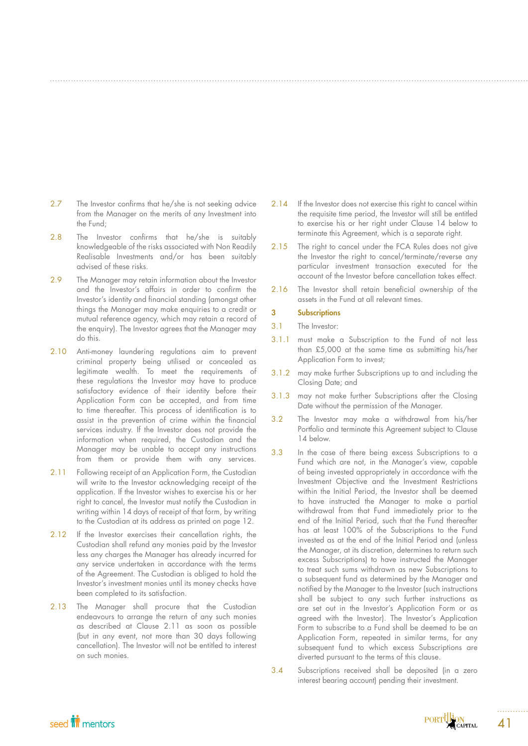- 2.7 The Investor confirms that he/she is not seeking advice from the Manager on the merits of any Investment into the Fund;
- 2.8 The Investor confirms that he/she is suitably knowledgeable of the risks associated with Non Readily Realisable Investments and/or has been suitably advised of these risks.
- 2.9 The Manager may retain information about the Investor and the Investor's affairs in order to confirm the Investor's identity and financial standing (amongst other things the Manager may make enquiries to a credit or mutual reference agency, which may retain a record of the enquiry). The Investor agrees that the Manager may do this.
- 2.10 Anti-money laundering regulations aim to prevent criminal property being utilised or concealed as legitimate wealth. To meet the requirements of these regulations the Investor may have to produce satisfactory evidence of their identity before their Application Form can be accepted, and from time to time thereafter. This process of identification is to assist in the prevention of crime within the financial services industry. If the Investor does not provide the information when required, the Custodian and the Manager may be unable to accept any instructions from them or provide them with any services.
- 2.11 Following receipt of an Application Form, the Custodian will write to the Investor acknowledging receipt of the application. If the Investor wishes to exercise his or her right to cancel, the Investor must notify the Custodian in writing within 14 days of receipt of that form, by writing to the Custodian at its address as printed on page 12.
- 2.12 If the Investor exercises their cancellation rights, the Custodian shall refund any monies paid by the Investor less any charges the Manager has already incurred for any service undertaken in accordance with the terms of the Agreement. The Custodian is obliged to hold the Investor's investment monies until its money checks have been completed to its satisfaction.
- 2.13 The Manager shall procure that the Custodian endeavours to arrange the return of any such monies as described at Clause 2.11 as soon as possible (but in any event, not more than 30 days following cancellation). The Investor will not be entitled to interest on such monies.
- 2.14 If the Investor does not exercise this right to cancel within the requisite time period, the Investor will still be entitled to exercise his or her right under Clause 14 below to terminate this Agreement, which is a separate right.
- 2.15 The right to cancel under the FCA Rules does not give the Investor the right to cancel/terminate/reverse any particular investment transaction executed for the account of the Investor before cancellation takes effect.
- 2.16 The Investor shall retain beneficial ownership of the assets in the Fund at all relevant times.

### 3 Subscriptions

- 3.1 The Investor:
- 3.1.1 must make a Subscription to the Fund of not less than £5,000 at the same time as submitting his/her Application Form to invest;
- 3.1.2 may make further Subscriptions up to and including the Closing Date; and
- 3.1.3 may not make further Subscriptions after the Closing Date without the permission of the Manager.
- 3.2 The Investor may make a withdrawal from his/her Portfolio and terminate this Agreement subject to Clause 14 below.
- 3.3 In the case of there being excess Subscriptions to a Fund which are not, in the Manager's view, capable of being invested appropriately in accordance with the Investment Objective and the Investment Restrictions within the Initial Period, the Investor shall be deemed to have instructed the Manager to make a partial withdrawal from that Fund immediately prior to the end of the Initial Period, such that the Fund thereafter has at least 100% of the Subscriptions to the Fund invested as at the end of the Initial Period and (unless the Manager, at its discretion, determines to return such excess Subscriptions) to have instructed the Manager to treat such sums withdrawn as new Subscriptions to a subsequent fund as determined by the Manager and notified by the Manager to the Investor (such instructions shall be subject to any such further instructions as are set out in the Investor's Application Form or as agreed with the Investor). The Investor's Application Form to subscribe to a Fund shall be deemed to be an Application Form, repeated in similar terms, for any subsequent fund to which excess Subscriptions are diverted pursuant to the terms of this clause.
- 3.4 Subscriptions received shall be deposited (in a zero interest bearing account) pending their investment.



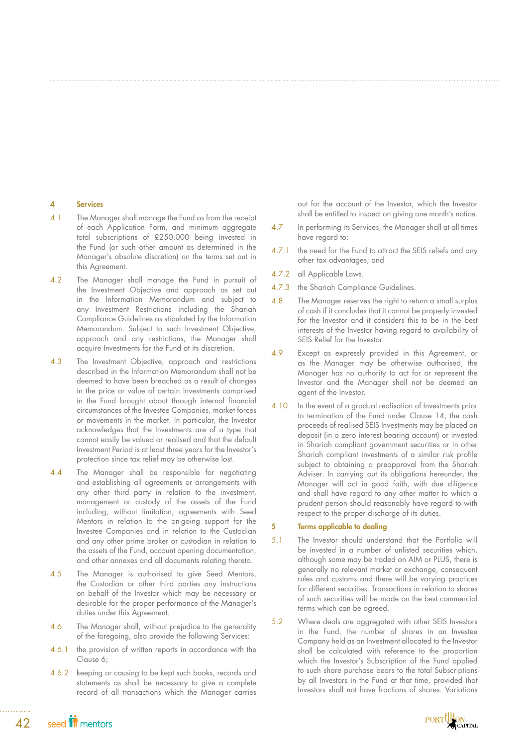### 4 Services

- 4.1 The Manager shall manage the Fund as from the receipt of each Application Form, and minimum aggregate total subscriptions of £250,000 being invested in the Fund (or such other amount as determined in the Manager's absolute discretion) on the terms set out in this Agreement.
- 4.2 The Manager shall manage the Fund in pursuit of the Investment Objective and approach as set out in the Information Memorandum and subject to any Investment Restrictions including the Shariah Compliance Guidelines as stipulated by the Information Memorandum. Subject to such Investment Objective, approach and any restrictions, the Manager shall acquire Investments for the Fund at its discretion.
- 4.3 The Investment Objective, approach and restrictions described in the Information Memorandum shall not be deemed to have been breached as a result of changes in the price or value of certain Investments comprised in the Fund brought about through internal financial circumstances of the Investee Companies, market forces or movements in the market. In particular, the Investor acknowledges that the Investments are of a type that cannot easily be valued or realised and that the default Investment Period is at least three years for the Investor's protection since tax relief may be otherwise lost.
- 4.4 The Manager shall be responsible for negotiating and establishing all agreements or arrangements with any other third party in relation to the investment, management or custody of the assets of the Fund including, without limitation, agreements with Seed Mentors in relation to the on-going support for the Investee Companies and in relation to the Custodian and any other prime broker or custodian in relation to the assets of the Fund, account opening documentation, and other annexes and all documents relating thereto.
- 4.5 The Manager is authorised to give Seed Mentors, the Custodian or other third parties any instructions on behalf of the Investor which may be necessary or desirable for the proper performance of the Manager's duties under this Agreement.
- 4.6 The Manager shall, without prejudice to the generality of the foregoing, also provide the following Services:
- 4.6.1 the provision of written reports in accordance with the Clause 6;
- 4.6.2 keeping or causing to be kept such books, records and statements as shall be necessary to give a complete record of all transactions which the Manager carries

out for the account of the Investor, which the Investor shall be entitled to inspect on giving one month's notice.

- 4.7 In performing its Services, the Manager shall at all times have regard to:
- 4.7.1 the need for the Fund to attract the SEIS reliefs and any other tax advantages; and
- 4.7.2 all Applicable Laws.
- 4.7.3 the Shariah Compliance Guidelines.
- 4.8 The Manager reserves the right to return a small surplus of cash if it concludes that it cannot be properly invested for the Investor and it considers this to be in the best interests of the Investor having regard to availability of SEIS Relief for the Investor.
- 4.9 Except as expressly provided in this Agreement, or as the Manager may be otherwise authorised, the Manager has no authority to act for or represent the Investor and the Manager shall not be deemed an agent of the Investor.
- 4.10 In the event of a gradual realisation of Investments prior to termination of the Fund under Clause 14, the cash proceeds of realised SEIS Investments may be placed on deposit (in a zero interest bearing account) or invested in Shariah compliant government securities or in other Shariah compliant investments of a similar risk profile subject to obtaining a preapproval from the Shariah Adviser. In carrying out its obligations hereunder, the Manager will act in good faith, with due diligence and shall have regard to any other matter to which a prudent person should reasonably have regard to with respect to the proper discharge of its duties.

## 5 Terms applicable to dealing

- 5.1 The Investor should understand that the Portfolio will be invested in a number of unlisted securities which, although some may be traded on AIM or PLUS, there is generally no relevant market or exchange, consequent rules and customs and there will be varying practices for different securities. Transactions in relation to shares of such securities will be made on the best commercial terms which can be agreed.
- 5.2 Where deals are aggregated with other SEIS Investors in the Fund, the number of shares in an Investee Company held as an Investment allocated to the Investor shall be calculated with reference to the proportion which the Investor's Subscription of the Fund applied to such share purchase bears to the total Subscriptions by all Investors in the Fund at that time, provided that Investors shall not have fractions of shares. Variations

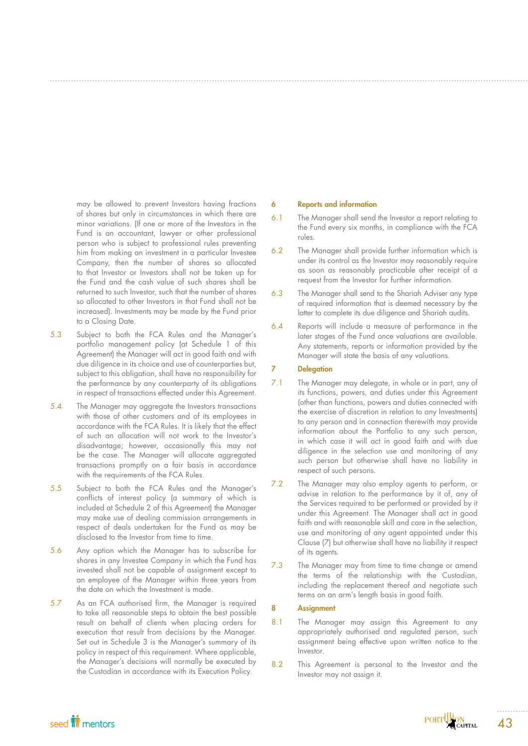may be allowed to prevent Investors having fractions of shares but only in circumstances in which there are minor variations. (If one or more of the Investors in the Fund is an accountant, lawyer or other professional person who is subject to professional rules preventing him from making an investment in a particular Investee Company, then the number of shares so allocated to that Investor or Investors shall not be taken up for the Fund and the cash value of such shares shall be returned to such Investor, such that the number of shares so allocated to other Investors in that Fund shall not be increased). Investments may be made by the Fund prior to a Closing Date.

- 5.3 Subject to both the FCA Rules and the Manager's portfolio management policy (at Schedule 1 of this Agreement) the Manager will act in good faith and with due diligence in its choice and use of counterparties but, subject to this obligation, shall have no responsibility for the performance by any counterparty of its obligations in respect of transactions effected under this Agreement.
- 5.4 The Manager may aggregate the Investors transactions with those of other customers and of its employees in accordance with the FCA Rules. It is likely that the effect of such an allocation will not work to the Investor's disadvantage; however, occasionally this may not be the case. The Manager will allocate aggregated transactions promptly on a fair basis in accordance with the requirements of the FCA Rules.
- 5.5 Subject to both the FCA Rules and the Manager's conflicts of interest policy (a summary of which is included at Schedule 2 of this Agreement) the Manager may make use of dealing commission arrangements in respect of deals undertaken for the Fund as may be disclosed to the Investor from time to time.
- 5.6 Any option which the Manager has to subscribe for shares in any Investee Company in which the Fund has invested shall not be capable of assignment except to an employee of the Manager within three years from the date on which the Investment is made.
- 5.7 As an FCA authorised firm, the Manager is required to take all reasonable steps to obtain the best possible result on behalf of clients when placing orders for execution that result from decisions by the Manager. Set out in Schedule 3 is the Manager's summary of its policy in respect of this requirement. Where applicable, the Manager's decisions will normally be executed by the Custodian in accordance with its Execution Policy.

#### 6 Reports and information

- 6.1 The Manager shall send the Investor a report relating to the Fund every six months, in compliance with the FCA rules.
- 6.2 The Manager shall provide further information which is under its control as the Investor may reasonably require as soon as reasonably practicable after receipt of a request from the Investor for further information.
- 6.3 The Manager shall send to the Shariah Adviser any type of required information that is deemed necessary by the latter to complete its due diligence and Shariah audits.
- 6.4 Reports will include a measure of performance in the later stages of the Fund once valuations are available. Any statements, reports or information provided by the Manager will state the basis of any valuations.

## 7 Delegation

- 7.1 The Manager may delegate, in whole or in part, any of its functions, powers, and duties under this Agreement (other than functions, powers and duties connected with the exercise of discretion in relation to any Investments) to any person and in connection therewith may provide information about the Portfolio to any such person, in which case it will act in good faith and with due diligence in the selection use and monitoring of any such person but otherwise shall have no liability in respect of such persons.
- 7.2 The Manager may also employ agents to perform, or advise in relation to the performance by it of, any of the Services required to be performed or provided by it under this Agreement. The Manager shall act in good faith and with reasonable skill and care in the selection, use and monitoring of any agent appointed under this Clause (7) but otherwise shall have no liability it respect of its agents.
- 7.3 The Manager may from time to time change or amend the terms of the relationship with the Custodian, including the replacement thereof and negotiate such terms on an arm's length basis in good faith.

## 8 Assignment

- 8.1 The Manager may assign this Agreement to any appropriately authorised and regulated person, such assignment being effective upon written notice to the Investor.
- 8.2 This Agreement is personal to the Investor and the Investor may not assign it.

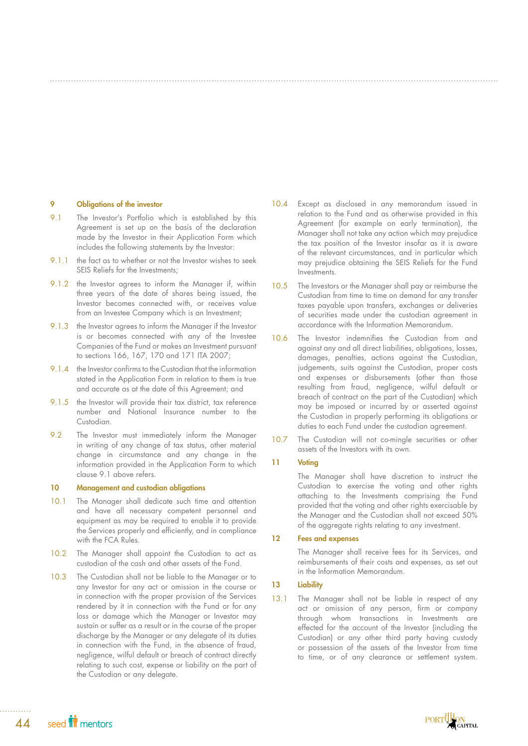### 9 Obligations of the investor

- 9.1 The Investor's Portfolio which is established by this Agreement is set up on the basis of the declaration made by the Investor in their Application Form which includes the following statements by the Investor:
- 9.1.1 the fact as to whether or not the Investor wishes to seek SEIS Reliefs for the Investments;
- 9.1.2 the Investor agrees to inform the Manager if, within three years of the date of shares being issued, the Investor becomes connected with, or receives value from an Investee Company which is an Investment;
- 9.1.3 the Investor agrees to inform the Manager if the Investor is or becomes connected with any of the Investee Companies of the Fund or makes an Investment pursuant to sections 166, 167, 170 and 171 ITA 2007;
- 9.1.4 the Investor confirms to the Custodian that the information stated in the Application Form in relation to them is true and accurate as at the date of this Agreement; and
- 9.1.5 the Investor will provide their tax district, tax reference number and National Insurance number to the Custodian.
- 9.2 The Investor must immediately inform the Manager in writing of any change of tax status, other material change in circumstance and any change in the information provided in the Application Form to which clause 9.1 above refers.

### 10 Management and custodian obligations

- 10.1 The Manager shall dedicate such time and attention and have all necessary competent personnel and equipment as may be required to enable it to provide the Services properly and efficiently, and in compliance with the FCA Rules.
- 10.2 The Manager shall appoint the Custodian to act as custodian of the cash and other assets of the Fund.
- 10.3 The Custodian shall not be liable to the Manager or to any Investor for any act or omission in the course or in connection with the proper provision of the Services rendered by it in connection with the Fund or for any loss or damage which the Manager or Investor may sustain or suffer as a result or in the course of the proper discharge by the Manager or any delegate of its duties in connection with the Fund, in the absence of fraud, negligence, wilful default or breach of contract directly relating to such cost, expense or liability on the part of the Custodian or any delegate.
- 10.4 Except as disclosed in any memorandum issued in relation to the Fund and as otherwise provided in this Agreement (for example on early termination), the Manager shall not take any action which may prejudice the tax position of the Investor insofar as it is aware of the relevant circumstances, and in particular which may prejudice obtaining the SEIS Reliefs for the Fund Investments.
- 10.5 The Investors or the Manager shall pay or reimburse the Custodian from time to time on demand for any transfer taxes payable upon transfers, exchanges or deliveries of securities made under the custodian agreement in accordance with the Information Memorandum.
- 10.6 The Investor indemnifies the Custodian from and against any and all direct liabilities, obligations, losses, damages, penalties, actions against the Custodian, judgements, suits against the Custodian, proper costs and expenses or disbursements (other than those resulting from fraud, negligence, wilful default or breach of contract on the part of the Custodian) which may be imposed or incurred by or asserted against the Custodian in properly performing its obligations or duties to each Fund under the custodian agreement.
- 10.7 The Custodian will not co-mingle securities or other assets of the Investors with its own.

## 11 Voting

The Manager shall have discretion to instruct the Custodian to exercise the voting and other rights attaching to the Investments comprising the Fund provided that the voting and other rights exercisable by the Manager and the Custodian shall not exceed 50% of the aggregate rights relating to any investment.

### 12 Fees and expenses

The Manager shall receive fees for its Services, and reimbursements of their costs and expenses, as set out in the Information Memorandum.

## 13 Liability

13.1 The Manager shall not be liable in respect of any act or omission of any person, firm or company through whom transactions in Investments are effected for the account of the Investor (including the Custodian) or any other third party having custody or possession of the assets of the Investor from time to time, or of any clearance or settlement system.

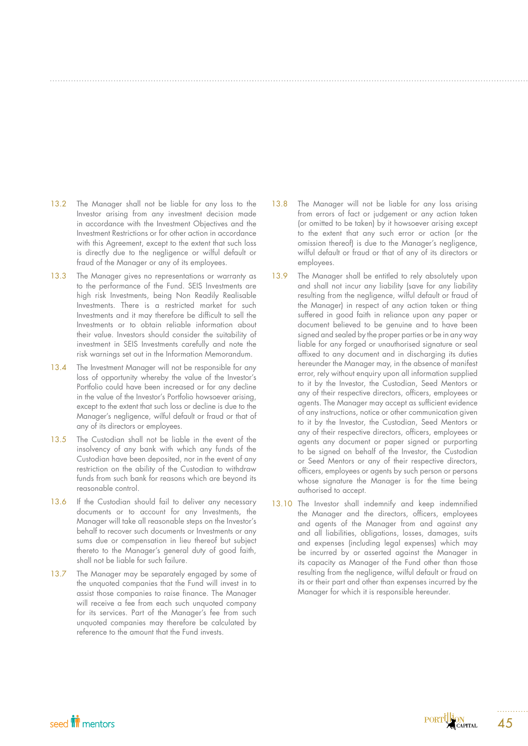- 13.2 The Manager shall not be liable for any loss to the Investor arising from any investment decision made in accordance with the Investment Objectives and the Investment Restrictions or for other action in accordance with this Agreement, except to the extent that such loss is directly due to the negligence or wilful default or fraud of the Manager or any of its employees.
- 13.3 The Manager gives no representations or warranty as to the performance of the Fund. SEIS Investments are high risk Investments, being Non Readily Realisable Investments. There is a restricted market for such Investments and it may therefore be difficult to sell the Investments or to obtain reliable information about their value. Investors should consider the suitability of investment in SEIS Investments carefully and note the risk warnings set out in the Information Memorandum.
- 13.4 The Investment Manager will not be responsible for any loss of opportunity whereby the value of the Investor's Portfolio could have been increased or for any decline in the value of the Investor's Portfolio howsoever arising, except to the extent that such loss or decline is due to the Manager's negligence, wilful default or fraud or that of any of its directors or employees.
- 13.5 The Custodian shall not be liable in the event of the insolvency of any bank with which any funds of the Custodian have been deposited, nor in the event of any restriction on the ability of the Custodian to withdraw funds from such bank for reasons which are beyond its reasonable control.
- 13.6 If the Custodian should fail to deliver any necessary documents or to account for any Investments, the Manager will take all reasonable steps on the Investor's behalf to recover such documents or Investments or any sums due or compensation in lieu thereof but subject thereto to the Manager's general duty of good faith, shall not be liable for such failure.
- 13.7 The Manager may be separately engaged by some of the unquoted companies that the Fund will invest in to assist those companies to raise finance. The Manager will receive a fee from each such unquoted company for its services. Part of the Manager's fee from such unquoted companies may therefore be calculated by reference to the amount that the Fund invests.
- 13.8 The Manager will not be liable for any loss arising from errors of fact or judgement or any action taken (or omitted to be taken) by it howsoever arising except to the extent that any such error or action (or the omission thereof) is due to the Manager's negligence, wilful default or fraud or that of any of its directors or employees.
- 13.9 The Manager shall be entitled to rely absolutely upon and shall not incur any liability (save for any liability resulting from the negligence, wilful default or fraud of the Manager) in respect of any action taken or thing suffered in good faith in reliance upon any paper or document believed to be genuine and to have been signed and sealed by the proper parties or be in any way liable for any forged or unauthorised signature or seal affixed to any document and in discharging its duties hereunder the Manager may, in the absence of manifest error, rely without enquiry upon all information supplied to it by the Investor, the Custodian, Seed Mentors or any of their respective directors, officers, employees or agents. The Manager may accept as sufficient evidence of any instructions, notice or other communication given to it by the Investor, the Custodian, Seed Mentors or any of their respective directors, officers, employees or agents any document or paper signed or purporting to be signed on behalf of the Investor, the Custodian or Seed Mentors or any of their respective directors, officers, employees or agents by such person or persons whose signature the Manager is for the time being authorised to accept.
- 13.10 The Investor shall indemnify and keep indemnified the Manager and the directors, officers, employees and agents of the Manager from and against any and all liabilities, obligations, losses, damages, suits and expenses (including legal expenses) which may be incurred by or asserted against the Manager in its capacity as Manager of the Fund other than those resulting from the negligence, wilful default or fraud on its or their part and other than expenses incurred by the Manager for which it is responsible hereunder.

# seed **in** mentors

PORTUGARITAL

45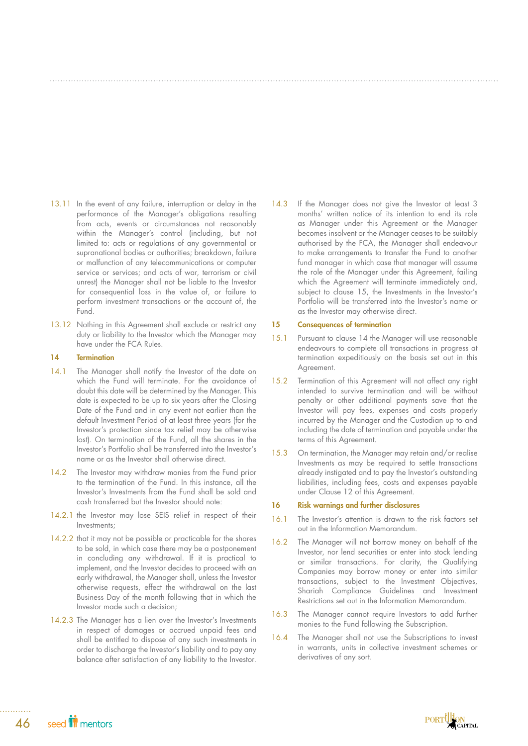- 13.11 In the event of any failure, interruption or delay in the performance of the Manager's obligations resulting from acts, events or circumstances not reasonably within the Manager's control (including, but not limited to: acts or regulations of any governmental or supranational bodies or authorities; breakdown, failure or malfunction of any telecommunications or computer service or services; and acts of war, terrorism or civil unrest) the Manager shall not be liable to the Investor for consequential loss in the value of, or failure to perform investment transactions or the account of, the Fund.
- 13.12 Nothing in this Agreement shall exclude or restrict any duty or liability to the Investor which the Manager may have under the FCA Rules.

### 14 Termination

- 14.1 The Manager shall notify the Investor of the date on which the Fund will terminate. For the avoidance of doubt this date will be determined by the Manager. This date is expected to be up to six years after the Closing Date of the Fund and in any event not earlier than the default Investment Period of at least three years (for the Investor's protection since tax relief may be otherwise lost). On termination of the Fund, all the shares in the Investor's Portfolio shall be transferred into the Investor's name or as the Investor shall otherwise direct.
- 14.2 The Investor may withdraw monies from the Fund prior to the termination of the Fund. In this instance, all the Investor's Investments from the Fund shall be sold and cash transferred but the Investor should note:
- 14.2.1 the Investor may lose SEIS relief in respect of their Investments;
- 14.2.2 that it may not be possible or practicable for the shares to be sold, in which case there may be a postponement in concluding any withdrawal. If it is practical to implement, and the Investor decides to proceed with an early withdrawal, the Manager shall, unless the Investor otherwise requests, effect the withdrawal on the last Business Day of the month following that in which the Investor made such a decision;
- 14.2.3 The Manager has a lien over the Investor's Investments in respect of damages or accrued unpaid fees and shall be entitled to dispose of any such investments in order to discharge the Investor's liability and to pay any balance after satisfaction of any liability to the Investor.

14.3 If the Manager does not give the Investor at least 3 months' written notice of its intention to end its role as Manager under this Agreement or the Manager becomes insolvent or the Manager ceases to be suitably authorised by the FCA, the Manager shall endeavour to make arrangements to transfer the Fund to another fund manager in which case that manager will assume the role of the Manager under this Agreement, failing which the Agreement will terminate immediately and, subject to clause 15, the Investments in the Investor's Portfolio will be transferred into the Investor's name or as the Investor may otherwise direct.

## 15 Consequences of termination

- 15.1 Pursuant to clause 14 the Manager will use reasonable endeavours to complete all transactions in progress at termination expeditiously on the basis set out in this Agreement.
- 15.2 Termination of this Agreement will not affect any right intended to survive termination and will be without penalty or other additional payments save that the Investor will pay fees, expenses and costs properly incurred by the Manager and the Custodian up to and including the date of termination and payable under the terms of this Agreement.
- 15.3 On termination, the Manager may retain and/or realise Investments as may be required to settle transactions already instigated and to pay the Investor's outstanding liabilities, including fees, costs and expenses payable under Clause 12 of this Agreement.

## 16 Risk warnings and further disclosures

- 16.1 The Investor's attention is drawn to the risk factors set out in the Information Memorandum.
- 16.2 The Manager will not borrow money on behalf of the Investor, nor lend securities or enter into stock lending or similar transactions. For clarity, the Qualifying Companies may borrow money or enter into similar transactions, subject to the Investment Objectives, Shariah Compliance Guidelines and Investment Restrictions set out in the Information Memorandum.
- 16.3 The Manager cannot require Investors to add further monies to the Fund following the Subscription.
- 16.4 The Manager shall not use the Subscriptions to invest in warrants, units in collective investment schemes or derivatives of any sort.

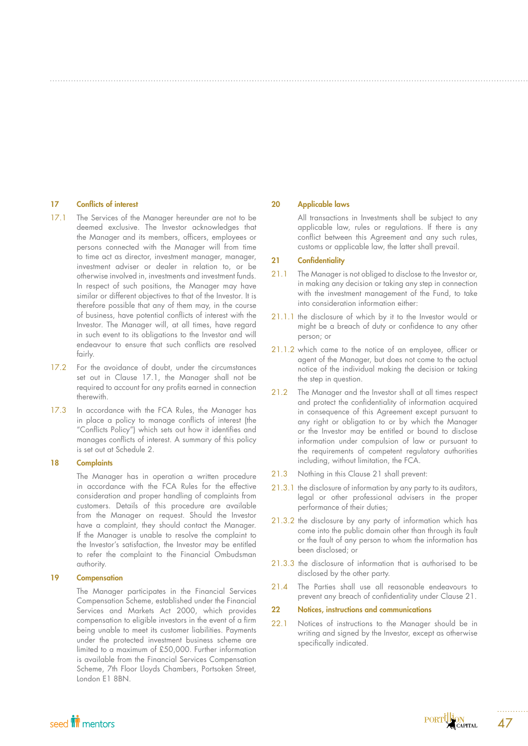### 17 Conflicts of interest

- 17.1 The Services of the Manager hereunder are not to be deemed exclusive. The Investor acknowledges that the Manager and its members, officers, employees or persons connected with the Manager will from time to time act as director, investment manager, manager, investment adviser or dealer in relation to, or be otherwise involved in, investments and investment funds. In respect of such positions, the Manager may have similar or different objectives to that of the Investor. It is therefore possible that any of them may, in the course of business, have potential conflicts of interest with the Investor. The Manager will, at all times, have regard in such event to its obligations to the Investor and will endeavour to ensure that such conflicts are resolved fairly.
- 17.2 For the avoidance of doubt, under the circumstances set out in Clause 17.1, the Manager shall not be required to account for any profits earned in connection therewith.
- 17.3 In accordance with the FCA Rules, the Manager has in place a policy to manage conflicts of interest (the "Conflicts Policy") which sets out how it identifies and manages conflicts of interest. A summary of this policy is set out at Schedule 2.

## 18 Complaints

The Manager has in operation a written procedure in accordance with the FCA Rules for the effective consideration and proper handling of complaints from customers. Details of this procedure are available from the Manager on request. Should the Investor have a complaint, they should contact the Manager. If the Manager is unable to resolve the complaint to the Investor's satisfaction, the Investor may be entitled to refer the complaint to the Financial Ombudsman authority.

## 19 Compensation

The Manager participates in the Financial Services Compensation Scheme, established under the Financial Services and Markets Act 2000, which provides compensation to eligible investors in the event of a firm being unable to meet its customer liabilities. Payments under the protected investment business scheme are limited to a maximum of £50,000. Further information is available from the Financial Services Compensation Scheme, 7th Floor Lloyds Chambers, Portsoken Street, London E1 8BN.

### 20 Applicable laws

All transactions in Investments shall be subject to any applicable law, rules or regulations. If there is any conflict between this Agreement and any such rules, customs or applicable law, the latter shall prevail.

### 21 Confidentiality

- 21.1 The Manager is not obliged to disclose to the Investor or, in making any decision or taking any step in connection with the investment management of the Fund, to take into consideration information either:
- 21.1.1 the disclosure of which by it to the Investor would or might be a breach of duty or confidence to any other person; or
- 21.1.2 which came to the notice of an employee, officer or agent of the Manager, but does not come to the actual notice of the individual making the decision or taking the step in question.
- 21.2 The Manager and the Investor shall at all times respect and protect the confidentiality of information acquired in consequence of this Agreement except pursuant to any right or obligation to or by which the Manager or the Investor may be entitled or bound to disclose information under compulsion of law or pursuant to the requirements of competent regulatory authorities including, without limitation, the FCA.
- 21.3 Nothing in this Clause 21 shall prevent:
- 21.3.1 the disclosure of information by any party to its auditors, legal or other professional advisers in the proper performance of their duties;
- 21.3.2 the disclosure by any party of information which has come into the public domain other than through its fault or the fault of any person to whom the information has been disclosed; or
- 21.3.3 the disclosure of information that is authorised to be disclosed by the other party.
- 21.4 The Parties shall use all reasonable endeavours to prevent any breach of confidentiality under Clause 21.
- 22 Notices, instructions and communications
- 22.1 Notices of instructions to the Manager should be in writing and signed by the Investor, except as otherwise specifically indicated.

PORTUGARITAL

47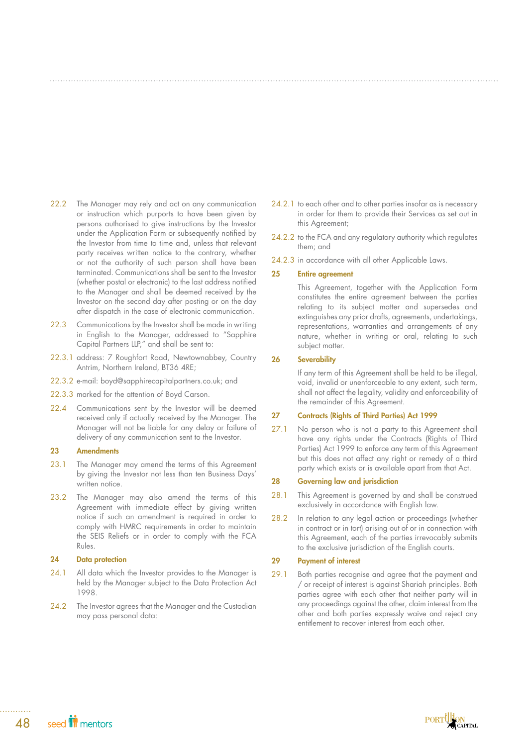- 22.2 The Manager may rely and act on any communication or instruction which purports to have been given by persons authorised to give instructions by the Investor under the Application Form or subsequently notified by the Investor from time to time and, unless that relevant party receives written notice to the contrary, whether or not the authority of such person shall have been terminated. Communications shall be sent to the Investor (whether postal or electronic) to the last address notified to the Manager and shall be deemed received by the Investor on the second day after posting or on the day after dispatch in the case of electronic communication.
- 22.3 Communications by the Investor shall be made in writing in English to the Manager, addressed to "Sapphire Capital Partners LLP," and shall be sent to:
- 22.3.1 address: 7 Roughfort Road, Newtownabbey, Country Antrim, Northern Ireland, BT36 4RE;
- 22.3.2 e-mail: boyd@sapphirecapitalpartners.co.uk; and
- 22.3.3 marked for the attention of Boyd Carson.
- 22.4 Communications sent by the Investor will be deemed received only if actually received by the Manager. The Manager will not be liable for any delay or failure of delivery of any communication sent to the Investor.

## 23 Amendments

- 23.1 The Manager may amend the terms of this Agreement by giving the Investor not less than ten Business Days' written notice.
- 23.2 The Manager may also amend the terms of this Agreement with immediate effect by giving written notice if such an amendment is required in order to comply with HMRC requirements in order to maintain the SEIS Reliefs or in order to comply with the FCA Rules.

## 24 Data protection

- 24.1 All data which the Investor provides to the Manager is held by the Manager subject to the Data Protection Act 1998.
- 24.2 The Investor agrees that the Manager and the Custodian may pass personal data:
- 24.2.1 to each other and to other parties insofar as is necessary in order for them to provide their Services as set out in this Agreement;
- 24.2.2 to the FCA and any regulatory authority which regulates them; and
- 24.2.3 in accordance with all other Applicable Laws.

### 25 Entire agreement

This Agreement, together with the Application Form constitutes the entire agreement between the parties relating to its subject matter and supersedes and extinguishes any prior drafts, agreements, undertakings, representations, warranties and arrangements of any nature, whether in writing or oral, relating to such subject matter.

### 26 Severability

If any term of this Agreement shall be held to be illegal, void, invalid or unenforceable to any extent, such term, shall not affect the legality, validity and enforceability of the remainder of this Agreement.

## 27 Contracts (Rights of Third Parties) Act 1999

27.1 No person who is not a party to this Agreement shall have any rights under the Contracts (Rights of Third Parties) Act 1999 to enforce any term of this Agreement but this does not affect any right or remedy of a third party which exists or is available apart from that Act.

### 28 Governing law and jurisdiction

- 28.1 This Agreement is governed by and shall be construed exclusively in accordance with English law.
- 28.2 In relation to any legal action or proceedings (whether in contract or in tort) arising out of or in connection with this Agreement, each of the parties irrevocably submits to the exclusive jurisdiction of the English courts.

### 29 Payment of interest

29.1 Both parties recognise and agree that the payment and / or receipt of interest is against Shariah principles. Both parties agree with each other that neither party will in any proceedings against the other, claim interest from the other and both parties expressly waive and reject any entitlement to recover interest from each other.

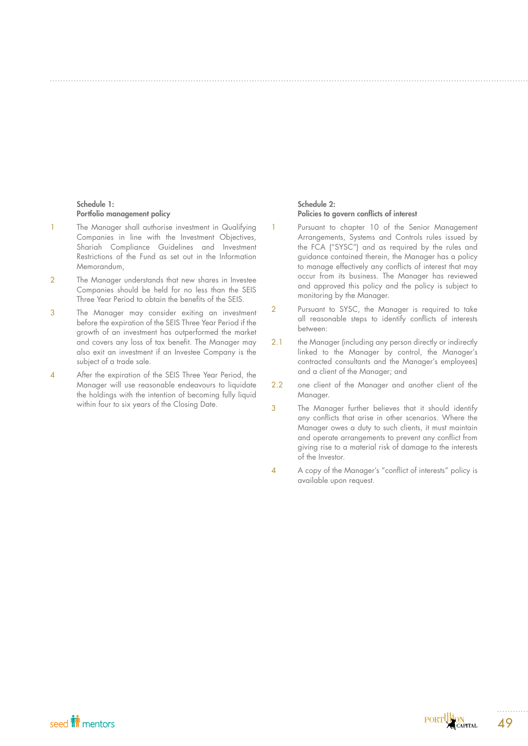### Schedule 1: Portfolio management policy

- 1 The Manager shall authorise investment in Qualifying Companies in line with the Investment Objectives, Shariah Compliance Guidelines and Investment Restrictions of the Fund as set out in the Information Memorandum,
- 2 The Manager understands that new shares in Investee Companies should be held for no less than the SEIS Three Year Period to obtain the benefits of the SEIS.
- 3 The Manager may consider exiting an investment before the expiration of the SEIS Three Year Period if the growth of an investment has outperformed the market and covers any loss of tax benefit. The Manager may also exit an investment if an Investee Company is the subject of a trade sale.
- 4 After the expiration of the SEIS Three Year Period, the Manager will use reasonable endeavours to liquidate the holdings with the intention of becoming fully liquid within four to six years of the Closing Date.

## Schedule 2: Policies to govern conflicts of interest

- 1 Pursuant to chapter 10 of the Senior Management Arrangements, Systems and Controls rules issued by the FCA ("SYSC") and as required by the rules and guidance contained therein, the Manager has a policy to manage effectively any conflicts of interest that may occur from its business. The Manager has reviewed and approved this policy and the policy is subject to monitoring by the Manager.
- 2 Pursuant to SYSC, the Manager is required to take all reasonable steps to identify conflicts of interests between:
- 2.1 the Manager (including any person directly or indirectly linked to the Manager by control, the Manager's contracted consultants and the Manager's employees) and a client of the Manager; and
- 2.2 one client of the Manager and another client of the Manager.
- 3 The Manager further believes that it should identify any conflicts that arise in other scenarios. Where the Manager owes a duty to such clients, it must maintain and operate arrangements to prevent any conflict from giving rise to a material risk of damage to the interests of the Investor.
- 4 A copy of the Manager's "conflict of interests" policy is available upon request.

49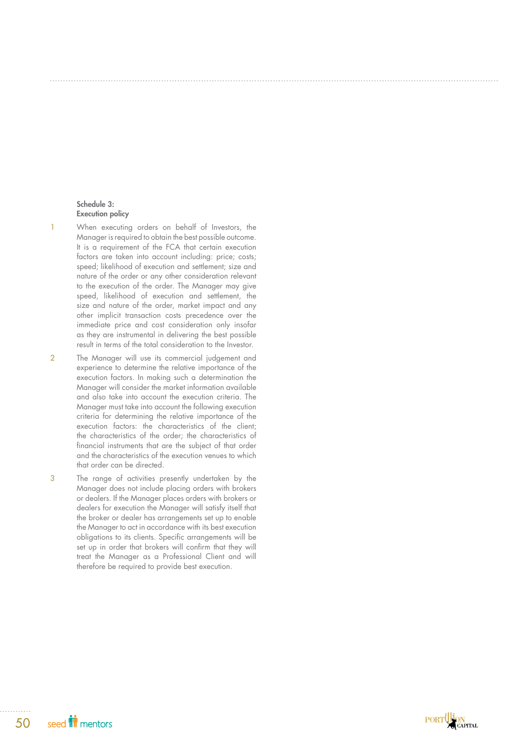### Schedule 3: Execution policy

- 1 When executing orders on behalf of Investors, the Manager is required to obtain the best possible outcome. It is a requirement of the FCA that certain execution factors are taken into account including: price; costs; speed; likelihood of execution and settlement; size and nature of the order or any other consideration relevant to the execution of the order. The Manager may give speed, likelihood of execution and settlement, the size and nature of the order, market impact and any other implicit transaction costs precedence over the immediate price and cost consideration only insofar as they are instrumental in delivering the best possible result in terms of the total consideration to the Investor.
- 2 The Manager will use its commercial judgement and experience to determine the relative importance of the execution factors. In making such a determination the Manager will consider the market information available and also take into account the execution criteria. The Manager must take into account the following execution criteria for determining the relative importance of the execution factors: the characteristics of the client; the characteristics of the order; the characteristics of financial instruments that are the subject of that order and the characteristics of the execution venues to which that order can be directed.
- 3 The range of activities presently undertaken by the Manager does not include placing orders with brokers or dealers. If the Manager places orders with brokers or dealers for execution the Manager will satisfy itself that the broker or dealer has arrangements set up to enable the Manager to act in accordance with its best execution obligations to its clients. Specific arrangements will be set up in order that brokers will confirm that they will treat the Manager as a Professional Client and will therefore be required to provide best execution.

PORTUGION

seed **in** mentors 50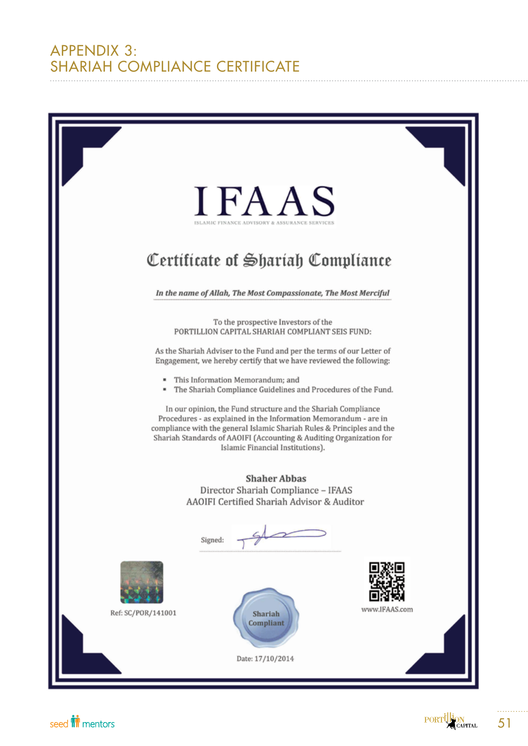# APPENDIX 3: SHARIAH COMPLIANCE CERTIFICATE



seed **in** mentors